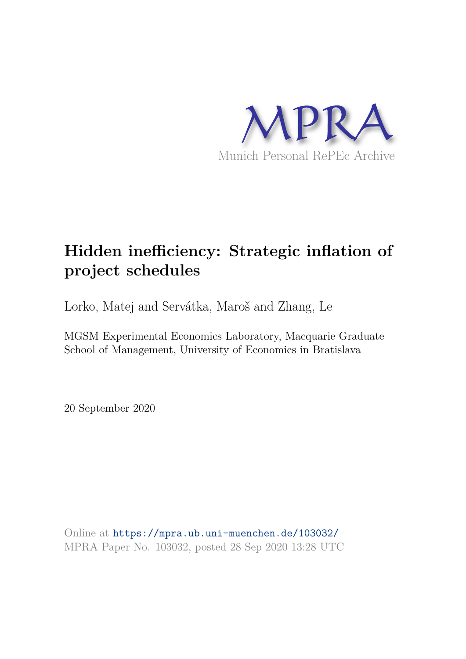

# **Hidden inefficiency: Strategic inflation of project schedules**

Lorko, Matej and Servátka, Maroš and Zhang, Le

MGSM Experimental Economics Laboratory, Macquarie Graduate School of Management, University of Economics in Bratislava

20 September 2020

Online at https://mpra.ub.uni-muenchen.de/103032/ MPRA Paper No. 103032, posted 28 Sep 2020 13:28 UTC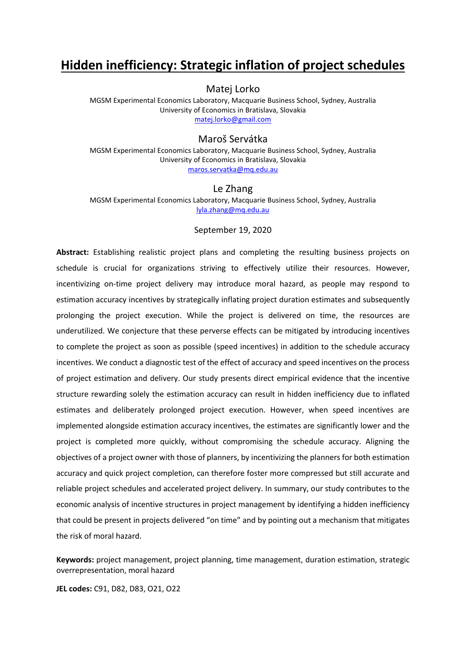## **Hidden inefficiency: Strategic inflation of project schedules**

Matej Lorko

MGSM Experimental Economics Laboratory, Macquarie Business School, Sydney, Australia University of Economics in Bratislava, Slovakia [matej.lorko@gmail.com](mailto:matej.lorko@gmail.com)

## Maroš Servátka

MGSM Experimental Economics Laboratory, Macquarie Business School, Sydney, Australia University of Economics in Bratislava, Slovakia [maros.servatka@mq.edu.au](mailto:maros.servatka@mq.edu.au) 

#### Le Zhang

MGSM Experimental Economics Laboratory, Macquarie Business School, Sydney, Australia [lyla.zhang@mq.edu.au](mailto:lyla.zhang@mq.edu.au)

#### September 19, 2020

**Abstract:** Establishing realistic project plans and completing the resulting business projects on schedule is crucial for organizations striving to effectively utilize their resources. However, incentivizing on-time project delivery may introduce moral hazard, as people may respond to estimation accuracy incentives by strategically inflating project duration estimates and subsequently prolonging the project execution. While the project is delivered on time, the resources are underutilized. We conjecture that these perverse effects can be mitigated by introducing incentives to complete the project as soon as possible (speed incentives) in addition to the schedule accuracy incentives. We conduct a diagnostic test of the effect of accuracy and speed incentives on the process of project estimation and delivery. Our study presents direct empirical evidence that the incentive structure rewarding solely the estimation accuracy can result in hidden inefficiency due to inflated estimates and deliberately prolonged project execution. However, when speed incentives are implemented alongside estimation accuracy incentives, the estimates are significantly lower and the project is completed more quickly, without compromising the schedule accuracy. Aligning the objectives of a project owner with those of planners, by incentivizing the planners for both estimation accuracy and quick project completion, can therefore foster more compressed but still accurate and reliable project schedules and accelerated project delivery. In summary, our study contributes to the economic analysis of incentive structures in project management by identifying a hidden inefficiency that could be present in projects delivered "on time" and by pointing out a mechanism that mitigates the risk of moral hazard.

**Keywords:** project management, project planning, time management, duration estimation, strategic overrepresentation, moral hazard

**JEL codes:** C91, D82, D83, O21, O22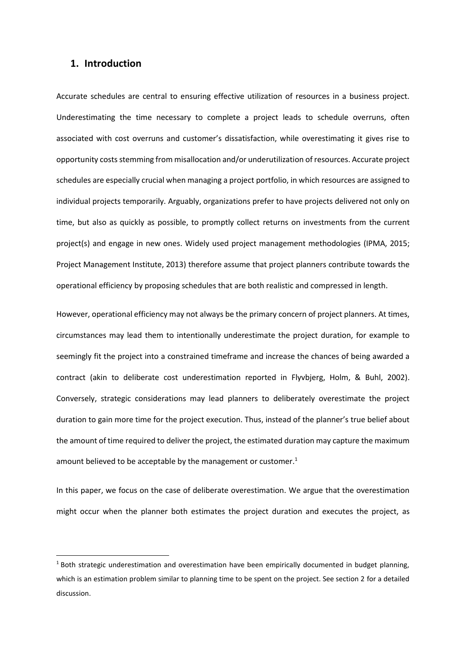## **1. Introduction**

Accurate schedules are central to ensuring effective utilization of resources in a business project. Underestimating the time necessary to complete a project leads to schedule overruns, often associated with cost overruns and customer's dissatisfaction, while overestimating it gives rise to opportunity costs stemming from misallocation and/or underutilization of resources. Accurate project schedules are especially crucial when managing a project portfolio, in which resources are assigned to individual projects temporarily. Arguably, organizations prefer to have projects delivered not only on time, but also as quickly as possible, to promptly collect returns on investments from the current project(s) and engage in new ones. Widely used project management methodologies (IPMA, 2015; Project Management Institute, 2013) therefore assume that project planners contribute towards the operational efficiency by proposing schedules that are both realistic and compressed in length.

However, operational efficiency may not always be the primary concern of project planners. At times, circumstances may lead them to intentionally underestimate the project duration, for example to seemingly fit the project into a constrained timeframe and increase the chances of being awarded a contract (akin to deliberate cost underestimation reported in Flyvbjerg, Holm, & Buhl, 2002). Conversely, strategic considerations may lead planners to deliberately overestimate the project duration to gain more time for the project execution. Thus, instead of the planner's true belief about the amount of time required to deliver the project, the estimated duration may capture the maximum amount believed to be acceptable by the management or customer. $1$ 

In this paper, we focus on the case of deliberate overestimation. We argue that the overestimation might occur when the planner both estimates the project duration and executes the project, as

<sup>&</sup>lt;sup>1</sup> Both strategic underestimation and overestimation have been empirically documented in budget planning, which is an estimation problem similar to planning time to be spent on the project. See section 2 for a detailed discussion.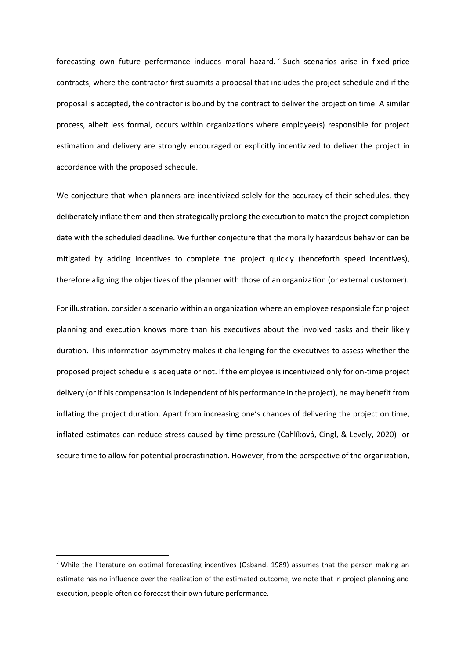forecasting own future performance induces moral hazard.<sup>2</sup> Such scenarios arise in fixed-price contracts, where the contractor first submits a proposal that includes the project schedule and if the proposal is accepted, the contractor is bound by the contract to deliver the project on time. A similar process, albeit less formal, occurs within organizations where employee(s) responsible for project estimation and delivery are strongly encouraged or explicitly incentivized to deliver the project in accordance with the proposed schedule.

We conjecture that when planners are incentivized solely for the accuracy of their schedules, they deliberately inflate them and then strategically prolong the execution to match the project completion date with the scheduled deadline. We further conjecture that the morally hazardous behavior can be mitigated by adding incentives to complete the project quickly (henceforth speed incentives), therefore aligning the objectives of the planner with those of an organization (or external customer).

For illustration, consider a scenario within an organization where an employee responsible for project planning and execution knows more than his executives about the involved tasks and their likely duration. This information asymmetry makes it challenging for the executives to assess whether the proposed project schedule is adequate or not. If the employee is incentivized only for on-time project delivery (or if his compensation is independent of his performance in the project), he may benefit from inflating the project duration. Apart from increasing one's chances of delivering the project on time, inflated estimates can reduce stress caused by time pressure (Cahlíková, Cingl, & Levely, 2020) or secure time to allow for potential procrastination. However, from the perspective of the organization,

<sup>&</sup>lt;sup>2</sup> While the literature on optimal forecasting incentives (Osband, 1989) assumes that the person making an estimate has no influence over the realization of the estimated outcome, we note that in project planning and execution, people often do forecast their own future performance.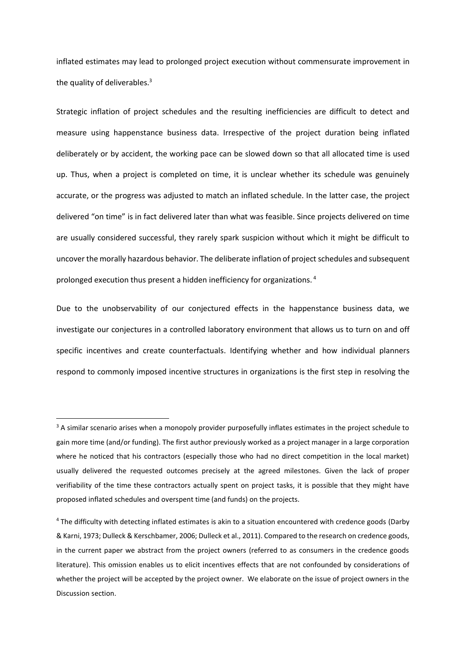inflated estimates may lead to prolonged project execution without commensurate improvement in the quality of deliverables. $3$ 

Strategic inflation of project schedules and the resulting inefficiencies are difficult to detect and measure using happenstance business data. Irrespective of the project duration being inflated deliberately or by accident, the working pace can be slowed down so that all allocated time is used up. Thus, when a project is completed on time, it is unclear whether its schedule was genuinely accurate, or the progress was adjusted to match an inflated schedule. In the latter case, the project delivered "on time" is in fact delivered later than what was feasible. Since projects delivered on time are usually considered successful, they rarely spark suspicion without which it might be difficult to uncover the morally hazardous behavior. The deliberate inflation of project schedules and subsequent prolonged execution thus present a hidden inefficiency for organizations.<sup>4</sup>

Due to the unobservability of our conjectured effects in the happenstance business data, we investigate our conjectures in a controlled laboratory environment that allows us to turn on and off specific incentives and create counterfactuals. Identifying whether and how individual planners respond to commonly imposed incentive structures in organizations is the first step in resolving the

<sup>&</sup>lt;sup>3</sup> A similar scenario arises when a monopoly provider purposefully inflates estimates in the project schedule to gain more time (and/or funding). The first author previously worked as a project manager in a large corporation where he noticed that his contractors (especially those who had no direct competition in the local market) usually delivered the requested outcomes precisely at the agreed milestones. Given the lack of proper verifiability of the time these contractors actually spent on project tasks, it is possible that they might have proposed inflated schedules and overspent time (and funds) on the projects.

<sup>&</sup>lt;sup>4</sup> The difficulty with detecting inflated estimates is akin to a situation encountered with credence goods (Darby & Karni, 1973; Dulleck & Kerschbamer, 2006; Dulleck et al., 2011). Compared to the research on credence goods, in the current paper we abstract from the project owners (referred to as consumers in the credence goods literature). This omission enables us to elicit incentives effects that are not confounded by considerations of whether the project will be accepted by the project owner. We elaborate on the issue of project owners in the Discussion section.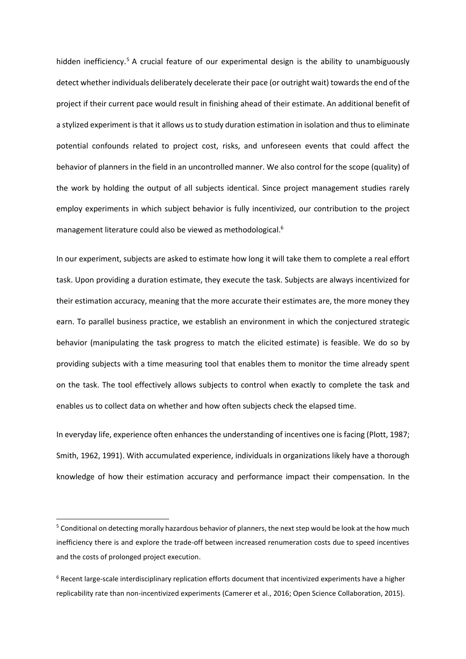hidden inefficiency.<sup>5</sup> A crucial feature of our experimental design is the ability to unambiguously detect whether individuals deliberately decelerate their pace (or outright wait) towards the end of the project if their current pace would result in finishing ahead of their estimate. An additional benefit of a stylized experiment is that it allows us to study duration estimation in isolation and thus to eliminate potential confounds related to project cost, risks, and unforeseen events that could affect the behavior of planners in the field in an uncontrolled manner. We also control for the scope (quality) of the work by holding the output of all subjects identical. Since project management studies rarely employ experiments in which subject behavior is fully incentivized, our contribution to the project management literature could also be viewed as methodological.<sup>6</sup>

In our experiment, subjects are asked to estimate how long it will take them to complete a real effort task. Upon providing a duration estimate, they execute the task. Subjects are always incentivized for their estimation accuracy, meaning that the more accurate their estimates are, the more money they earn. To parallel business practice, we establish an environment in which the conjectured strategic behavior (manipulating the task progress to match the elicited estimate) is feasible. We do so by providing subjects with a time measuring tool that enables them to monitor the time already spent on the task. The tool effectively allows subjects to control when exactly to complete the task and enables us to collect data on whether and how often subjects check the elapsed time.

In everyday life, experience often enhances the understanding of incentives one is facing (Plott, 1987; Smith, 1962, 1991). With accumulated experience, individuals in organizations likely have a thorough knowledge of how their estimation accuracy and performance impact their compensation. In the

<sup>&</sup>lt;sup>5</sup> Conditional on detecting morally hazardous behavior of planners, the next step would be look at the how much inefficiency there is and explore the trade-off between increased renumeration costs due to speed incentives and the costs of prolonged project execution.

<sup>&</sup>lt;sup>6</sup> Recent large-scale interdisciplinary replication efforts document that incentivized experiments have a higher replicability rate than non-incentivized experiments (Camerer et al., 2016; Open Science Collaboration, 2015).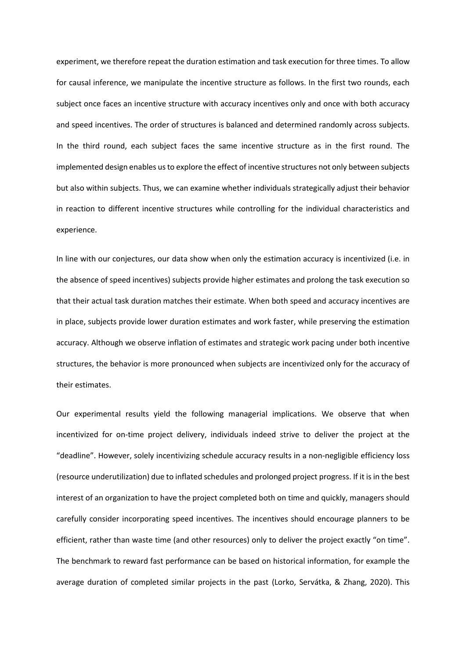experiment, we therefore repeat the duration estimation and task execution for three times. To allow for causal inference, we manipulate the incentive structure as follows. In the first two rounds, each subject once faces an incentive structure with accuracy incentives only and once with both accuracy and speed incentives. The order of structures is balanced and determined randomly across subjects. In the third round, each subject faces the same incentive structure as in the first round. The implemented design enables us to explore the effect of incentive structures not only between subjects but also within subjects. Thus, we can examine whether individuals strategically adjust their behavior in reaction to different incentive structures while controlling for the individual characteristics and experience.

In line with our conjectures, our data show when only the estimation accuracy is incentivized (i.e. in the absence of speed incentives) subjects provide higher estimates and prolong the task execution so that their actual task duration matches their estimate. When both speed and accuracy incentives are in place, subjects provide lower duration estimates and work faster, while preserving the estimation accuracy. Although we observe inflation of estimates and strategic work pacing under both incentive structures, the behavior is more pronounced when subjects are incentivized only for the accuracy of their estimates.

Our experimental results yield the following managerial implications. We observe that when incentivized for on-time project delivery, individuals indeed strive to deliver the project at the "deadline". However, solely incentivizing schedule accuracy results in a non-negligible efficiency loss (resource underutilization) due to inflated schedules and prolonged project progress. If it is in the best interest of an organization to have the project completed both on time and quickly, managers should carefully consider incorporating speed incentives. The incentives should encourage planners to be efficient, rather than waste time (and other resources) only to deliver the project exactly "on time". The benchmark to reward fast performance can be based on historical information, for example the average duration of completed similar projects in the past (Lorko, Servátka, & Zhang, 2020). This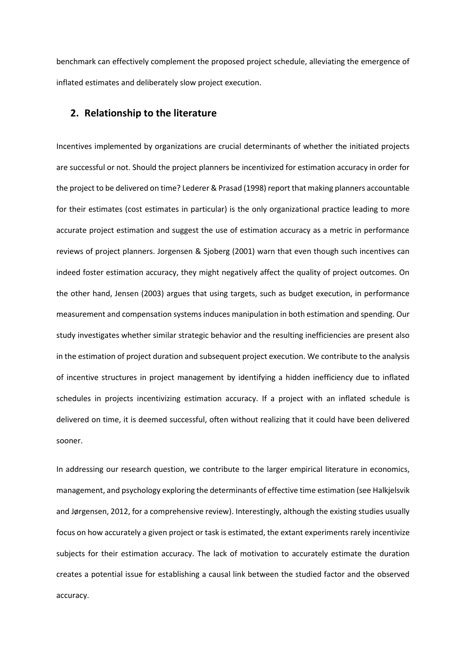benchmark can effectively complement the proposed project schedule, alleviating the emergence of inflated estimates and deliberately slow project execution.

## **2. Relationship to the literature**

Incentives implemented by organizations are crucial determinants of whether the initiated projects are successful or not. Should the project planners be incentivized for estimation accuracy in order for the project to be delivered on time? Lederer & Prasad (1998) report that making planners accountable for their estimates (cost estimates in particular) is the only organizational practice leading to more accurate project estimation and suggest the use of estimation accuracy as a metric in performance reviews of project planners. Jorgensen & Sjoberg (2001) warn that even though such incentives can indeed foster estimation accuracy, they might negatively affect the quality of project outcomes. On the other hand, Jensen (2003) argues that using targets, such as budget execution, in performance measurement and compensation systems induces manipulation in both estimation and spending. Our study investigates whether similar strategic behavior and the resulting inefficiencies are present also in the estimation of project duration and subsequent project execution. We contribute to the analysis of incentive structures in project management by identifying a hidden inefficiency due to inflated schedules in projects incentivizing estimation accuracy. If a project with an inflated schedule is delivered on time, it is deemed successful, often without realizing that it could have been delivered sooner.

In addressing our research question, we contribute to the larger empirical literature in economics, management, and psychology exploring the determinants of effective time estimation (see Halkjelsvik and Jørgensen, 2012, for a comprehensive review). Interestingly, although the existing studies usually focus on how accurately a given project or task is estimated, the extant experiments rarely incentivize subjects for their estimation accuracy. The lack of motivation to accurately estimate the duration creates a potential issue for establishing a causal link between the studied factor and the observed accuracy.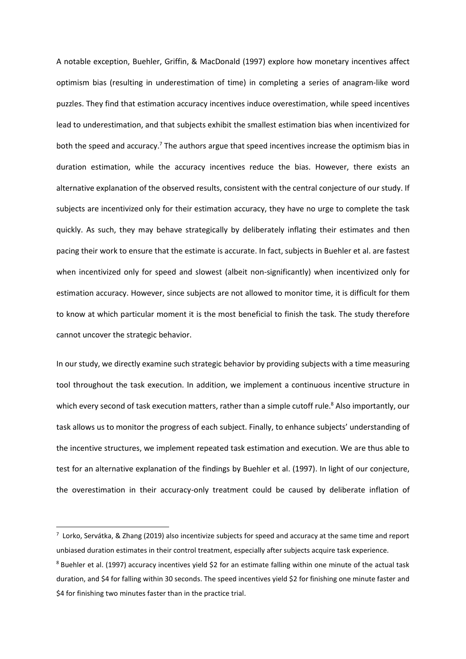A notable exception, Buehler, Griffin, & MacDonald (1997) explore how monetary incentives affect optimism bias (resulting in underestimation of time) in completing a series of anagram-like word puzzles. They find that estimation accuracy incentives induce overestimation, while speed incentives lead to underestimation, and that subjects exhibit the smallest estimation bias when incentivized for both the speed and accuracy.<sup>7</sup> The authors argue that speed incentives increase the optimism bias in duration estimation, while the accuracy incentives reduce the bias. However, there exists an alternative explanation of the observed results, consistent with the central conjecture of our study. If subjects are incentivized only for their estimation accuracy, they have no urge to complete the task quickly. As such, they may behave strategically by deliberately inflating their estimates and then pacing their work to ensure that the estimate is accurate. In fact, subjects in Buehler et al. are fastest when incentivized only for speed and slowest (albeit non-significantly) when incentivized only for estimation accuracy. However, since subjects are not allowed to monitor time, it is difficult for them to know at which particular moment it is the most beneficial to finish the task. The study therefore cannot uncover the strategic behavior.

In our study, we directly examine such strategic behavior by providing subjects with a time measuring tool throughout the task execution. In addition, we implement a continuous incentive structure in which every second of task execution matters, rather than a simple cutoff rule.<sup>8</sup> Also importantly, our task allows us to monitor the progress of each subject. Finally, to enhance subjects' understanding of the incentive structures, we implement repeated task estimation and execution. We are thus able to test for an alternative explanation of the findings by Buehler et al. (1997). In light of our conjecture, the overestimation in their accuracy-only treatment could be caused by deliberate inflation of

 $^7$  Lorko, Servátka, & Zhang (2019) also incentivize subjects for speed and accuracy at the same time and report unbiased duration estimates in their control treatment, especially after subjects acquire task experience.

<sup>&</sup>lt;sup>8</sup> Buehler et al. (1997) accuracy incentives yield \$2 for an estimate falling within one minute of the actual task duration, and \$4 for falling within 30 seconds. The speed incentives yield \$2 for finishing one minute faster and \$4 for finishing two minutes faster than in the practice trial.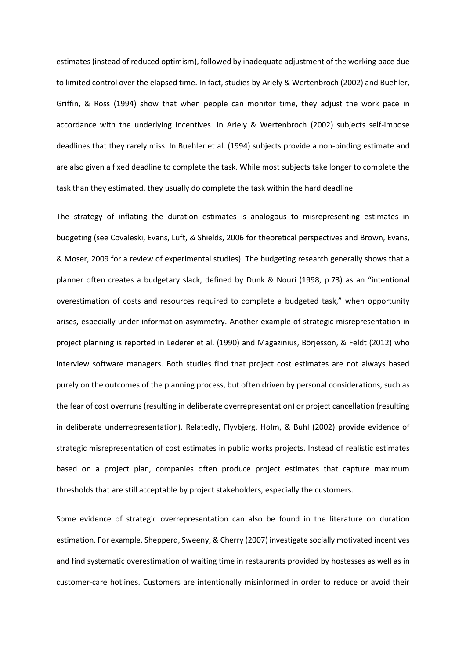estimates (instead of reduced optimism), followed by inadequate adjustment of the working pace due to limited control over the elapsed time. In fact, studies by Ariely & Wertenbroch (2002) and Buehler, Griffin, & Ross (1994) show that when people can monitor time, they adjust the work pace in accordance with the underlying incentives. In Ariely & Wertenbroch (2002) subjects self-impose deadlines that they rarely miss. In Buehler et al. (1994) subjects provide a non-binding estimate and are also given a fixed deadline to complete the task. While most subjects take longer to complete the task than they estimated, they usually do complete the task within the hard deadline.

The strategy of inflating the duration estimates is analogous to misrepresenting estimates in budgeting (see Covaleski, Evans, Luft, & Shields, 2006 for theoretical perspectives and Brown, Evans, & Moser, 2009 for a review of experimental studies). The budgeting research generally shows that a planner often creates a budgetary slack, defined by Dunk & Nouri (1998, p.73) as an "intentional overestimation of costs and resources required to complete a budgeted task," when opportunity arises, especially under information asymmetry. Another example of strategic misrepresentation in project planning is reported in Lederer et al. (1990) and Magazinius, Börjesson, & Feldt (2012) who interview software managers. Both studies find that project cost estimates are not always based purely on the outcomes of the planning process, but often driven by personal considerations, such as the fear of cost overruns (resulting in deliberate overrepresentation) or project cancellation (resulting in deliberate underrepresentation). Relatedly, Flyvbjerg, Holm, & Buhl (2002) provide evidence of strategic misrepresentation of cost estimates in public works projects. Instead of realistic estimates based on a project plan, companies often produce project estimates that capture maximum thresholds that are still acceptable by project stakeholders, especially the customers.

Some evidence of strategic overrepresentation can also be found in the literature on duration estimation. For example, Shepperd, Sweeny, & Cherry (2007) investigate socially motivated incentives and find systematic overestimation of waiting time in restaurants provided by hostesses as well as in customer-care hotlines. Customers are intentionally misinformed in order to reduce or avoid their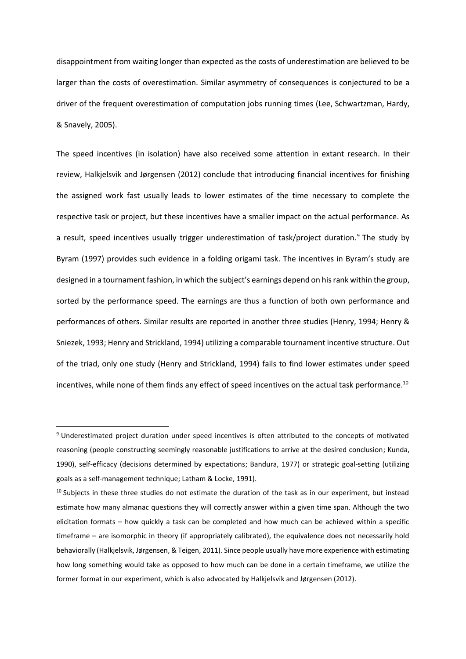disappointment from waiting longer than expected as the costs of underestimation are believed to be larger than the costs of overestimation. Similar asymmetry of consequences is conjectured to be a driver of the frequent overestimation of computation jobs running times (Lee, Schwartzman, Hardy, & Snavely, 2005).

The speed incentives (in isolation) have also received some attention in extant research. In their review, Halkjelsvik and Jørgensen (2012) conclude that introducing financial incentives for finishing the assigned work fast usually leads to lower estimates of the time necessary to complete the respective task or project, but these incentives have a smaller impact on the actual performance. As a result, speed incentives usually trigger underestimation of task/project duration.<sup>9</sup> The study by Byram (1997) provides such evidence in a folding origami task. The incentives in Byram's study are designed in a tournament fashion, in which the subject's earnings depend on his rank within the group, sorted by the performance speed. The earnings are thus a function of both own performance and performances of others. Similar results are reported in another three studies (Henry, 1994; Henry & Sniezek, 1993; Henry and Strickland, 1994) utilizing a comparable tournament incentive structure. Out of the triad, only one study (Henry and Strickland, 1994) fails to find lower estimates under speed incentives, while none of them finds any effect of speed incentives on the actual task performance.<sup>10</sup>

<sup>&</sup>lt;sup>9</sup> Underestimated project duration under speed incentives is often attributed to the concepts of motivated reasoning (people constructing seemingly reasonable justifications to arrive at the desired conclusion; Kunda, 1990), self-efficacy (decisions determined by expectations; Bandura, 1977) or strategic goal-setting (utilizing goals as a self-management technique; Latham & Locke, 1991).

<sup>&</sup>lt;sup>10</sup> Subjects in these three studies do not estimate the duration of the task as in our experiment, but instead estimate how many almanac questions they will correctly answer within a given time span. Although the two elicitation formats – how quickly a task can be completed and how much can be achieved within a specific timeframe – are isomorphic in theory (if appropriately calibrated), the equivalence does not necessarily hold behaviorally (Halkjelsvik, Jørgensen, & Teigen, 2011). Since people usually have more experience with estimating how long something would take as opposed to how much can be done in a certain timeframe, we utilize the former format in our experiment, which is also advocated by Halkjelsvik and Jørgensen (2012).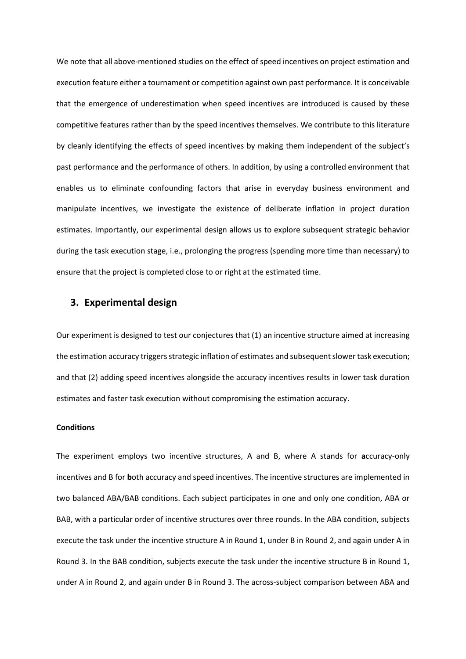We note that all above-mentioned studies on the effect of speed incentives on project estimation and execution feature either a tournament or competition against own past performance. It is conceivable that the emergence of underestimation when speed incentives are introduced is caused by these competitive features rather than by the speed incentives themselves. We contribute to this literature by cleanly identifying the effects of speed incentives by making them independent of the subject's past performance and the performance of others. In addition, by using a controlled environment that enables us to eliminate confounding factors that arise in everyday business environment and manipulate incentives, we investigate the existence of deliberate inflation in project duration estimates. Importantly, our experimental design allows us to explore subsequent strategic behavior during the task execution stage, i.e., prolonging the progress (spending more time than necessary) to ensure that the project is completed close to or right at the estimated time.

## **3. Experimental design**

Our experiment is designed to test our conjectures that (1) an incentive structure aimed at increasing the estimation accuracy triggers strategic inflation of estimates and subsequent slower task execution; and that (2) adding speed incentives alongside the accuracy incentives results in lower task duration estimates and faster task execution without compromising the estimation accuracy.

## **Conditions**

The experiment employs two incentive structures, A and B, where A stands for **a**ccuracy-only incentives and B for **b**oth accuracy and speed incentives. The incentive structures are implemented in two balanced ABA/BAB conditions. Each subject participates in one and only one condition, ABA or BAB, with a particular order of incentive structures over three rounds. In the ABA condition, subjects execute the task under the incentive structure A in Round 1, under B in Round 2, and again under A in Round 3. In the BAB condition, subjects execute the task under the incentive structure B in Round 1, under A in Round 2, and again under B in Round 3. The across-subject comparison between ABA and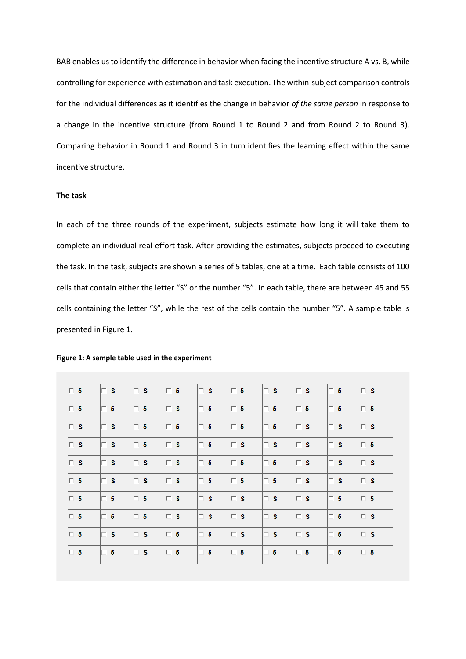BAB enables us to identify the difference in behavior when facing the incentive structure A vs. B, while controlling for experience with estimation and task execution. The within-subject comparison controls for the individual differences as it identifies the change in behavior *of the same person* in response to a change in the incentive structure (from Round 1 to Round 2 and from Round 2 to Round 3). Comparing behavior in Round 1 and Round 3 in turn identifies the learning effect within the same incentive structure.

#### **The task**

In each of the three rounds of the experiment, subjects estimate how long it will take them to complete an individual real-effort task. After providing the estimates, subjects proceed to executing the task. In the task, subjects are shown a series of 5 tables, one at a time. Each table consists of 100 cells that contain either the letter "S" or the number "5". In each table, there are between 45 and 55 cells containing the letter "S", while the rest of the cells contain the number "5". A sample table is presented in Figure 1.

| $\Box$ 5       | $\Box$ s | $\Box$ s | $\Box$ 5 | $\Box$ s | $\Box$ 5 | $\Box$ s | $\Box$ s | $\Box$ 5 | $\Box$ s |
|----------------|----------|----------|----------|----------|----------|----------|----------|----------|----------|
| $\Box$ 5       | $\Box$ 5 | $\Box$ 5 | $\Box$ s | $\Box$ 5 | $\Box$ 5 | $\Box$ 5 | $\Box$ 5 | $\Box$ 5 | $\Box$ 5 |
| $\mathsf{E}$ s | $\Box$ s | $\Box$ 5 | $\Box$ 5 | $\Box$ 5 | $\Box$ 5 | $\Box$ 5 | $\Box$ s | $\Box$ s | $\Box$ s |
| $\Box$ s       | $\Box$ s | $\Box$ 5 | $\Box$ s | $\Box$ 5 | $\Box$ s | $\Box$ s | $\Box$ s | $\Box$ s | $\Box$ 5 |
| $\Box$ s       | $\Box$ s | $\Box$ s | $\Box$ s | $\Box$ 5 | $\Box$ 5 | $\Box$ 5 | $\Box$ s | $\Box$ s | $\Box$ s |
| $\Box$ 5       | $\Box$ s | $\Box$ s | $\Box$ s | $\Box$ 5 | $\Box$ 5 | $\Box$ 5 | $\Box$ s | $\Box$ s | $\Box$ s |
| $\Box$ 5       | $\Box$ 5 | $\Box$ 5 | $\Box$ s | $\Box$ s | $\Box$ s | $\Box$ s | $\Box$ s | $\Box$ 5 | $\Box$ 5 |
| $\Box$ 5       | $\Box$ 5 | $\Box$ 5 | $\Box$ s | $\Box$ s | $\Box$ s | $\Box$ s | $\Box$ s | $\Box$ 5 | $\Box$ s |
| $\Box$ 5       | $\Box$ s | $\Box$ s | $\Box$ 5 | $\Box$ 5 | $\Box$ s | $\Box$ s | $\Box$ s | $\Box$ 5 | $\Box$ s |
| $\vert \Box$ 5 | $\Box$ 5 | $\Box$ s | $\Box$ 5 | $\Box$ 5 | $\Box$ 5 | $\Box$ 5 | $\Box$ 5 | $\Box$ 5 | $\Box$ 5 |

#### **Figure 1: A sample table used in the experiment**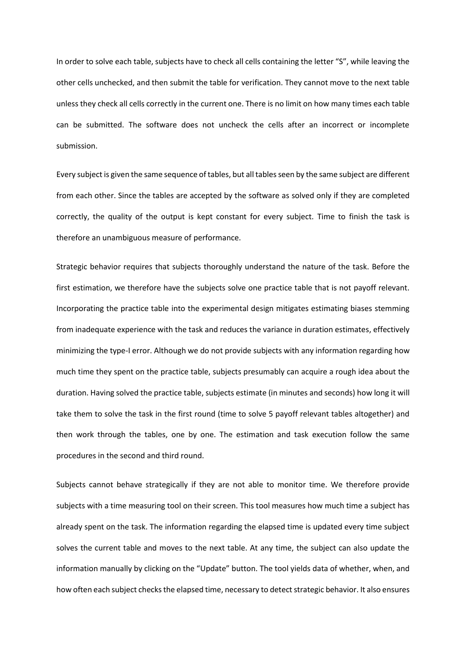In order to solve each table, subjects have to check all cells containing the letter "S", while leaving the other cells unchecked, and then submit the table for verification. They cannot move to the next table unless they check all cells correctly in the current one. There is no limit on how many times each table can be submitted. The software does not uncheck the cells after an incorrect or incomplete submission.

Every subject is given the same sequence of tables, but all tables seen by the same subject are different from each other. Since the tables are accepted by the software as solved only if they are completed correctly, the quality of the output is kept constant for every subject. Time to finish the task is therefore an unambiguous measure of performance.

Strategic behavior requires that subjects thoroughly understand the nature of the task. Before the first estimation, we therefore have the subjects solve one practice table that is not payoff relevant. Incorporating the practice table into the experimental design mitigates estimating biases stemming from inadequate experience with the task and reduces the variance in duration estimates, effectively minimizing the type-I error. Although we do not provide subjects with any information regarding how much time they spent on the practice table, subjects presumably can acquire a rough idea about the duration. Having solved the practice table, subjects estimate (in minutes and seconds) how long it will take them to solve the task in the first round (time to solve 5 payoff relevant tables altogether) and then work through the tables, one by one. The estimation and task execution follow the same procedures in the second and third round.

Subjects cannot behave strategically if they are not able to monitor time. We therefore provide subjects with a time measuring tool on their screen. This tool measures how much time a subject has already spent on the task. The information regarding the elapsed time is updated every time subject solves the current table and moves to the next table. At any time, the subject can also update the information manually by clicking on the "Update" button. The tool yields data of whether, when, and how often each subject checks the elapsed time, necessary to detect strategic behavior. It also ensures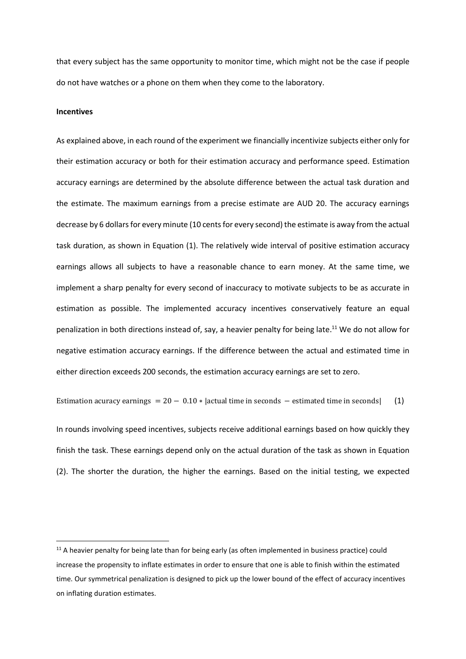that every subject has the same opportunity to monitor time, which might not be the case if people do not have watches or a phone on them when they come to the laboratory.

#### **Incentives**

As explained above, in each round of the experiment we financially incentivize subjects either only for their estimation accuracy or both for their estimation accuracy and performance speed. Estimation accuracy earnings are determined by the absolute difference between the actual task duration and the estimate. The maximum earnings from a precise estimate are AUD 20. The accuracy earnings decrease by 6 dollars for every minute (10 cents for every second) the estimate is away from the actual task duration, as shown in Equation (1). The relatively wide interval of positive estimation accuracy earnings allows all subjects to have a reasonable chance to earn money. At the same time, we implement a sharp penalty for every second of inaccuracy to motivate subjects to be as accurate in estimation as possible. The implemented accuracy incentives conservatively feature an equal penalization in both directions instead of, say, a heavier penalty for being late.<sup>11</sup> We do not allow for negative estimation accuracy earnings. If the difference between the actual and estimated time in either direction exceeds 200 seconds, the estimation accuracy earnings are set to zero.

Estimation acuracy earnings =  $20 - 0.10 * |$  actual time in seconds – estimated time in seconds [(1)

In rounds involving speed incentives, subjects receive additional earnings based on how quickly they finish the task. These earnings depend only on the actual duration of the task as shown in Equation (2). The shorter the duration, the higher the earnings. Based on the initial testing, we expected

 $11$  A heavier penalty for being late than for being early (as often implemented in business practice) could increase the propensity to inflate estimates in order to ensure that one is able to finish within the estimated time. Our symmetrical penalization is designed to pick up the lower bound of the effect of accuracy incentives on inflating duration estimates.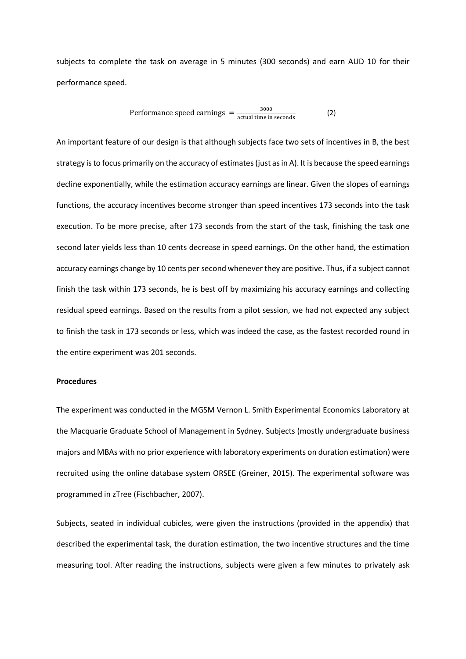subjects to complete the task on average in 5 minutes (300 seconds) and earn AUD 10 for their performance speed.

Performance speed earnings 
$$
=\frac{3000}{\text{actual time in seconds}}
$$
 (2)

An important feature of our design is that although subjects face two sets of incentives in B, the best strategy is to focus primarily on the accuracy of estimates (just as in A). It is because the speed earnings decline exponentially, while the estimation accuracy earnings are linear. Given the slopes of earnings functions, the accuracy incentives become stronger than speed incentives 173 seconds into the task execution. To be more precise, after 173 seconds from the start of the task, finishing the task one second later yields less than 10 cents decrease in speed earnings. On the other hand, the estimation accuracy earnings change by 10 cents per second whenever they are positive. Thus, if a subject cannot finish the task within 173 seconds, he is best off by maximizing his accuracy earnings and collecting residual speed earnings. Based on the results from a pilot session, we had not expected any subject to finish the task in 173 seconds or less, which was indeed the case, as the fastest recorded round in the entire experiment was 201 seconds.

#### **Procedures**

The experiment was conducted in the MGSM Vernon L. Smith Experimental Economics Laboratory at the Macquarie Graduate School of Management in Sydney. Subjects (mostly undergraduate business majors and MBAs with no prior experience with laboratory experiments on duration estimation) were recruited using the online database system ORSEE (Greiner, 2015). The experimental software was programmed in zTree (Fischbacher, 2007).

Subjects, seated in individual cubicles, were given the instructions (provided in the appendix) that described the experimental task, the duration estimation, the two incentive structures and the time measuring tool. After reading the instructions, subjects were given a few minutes to privately ask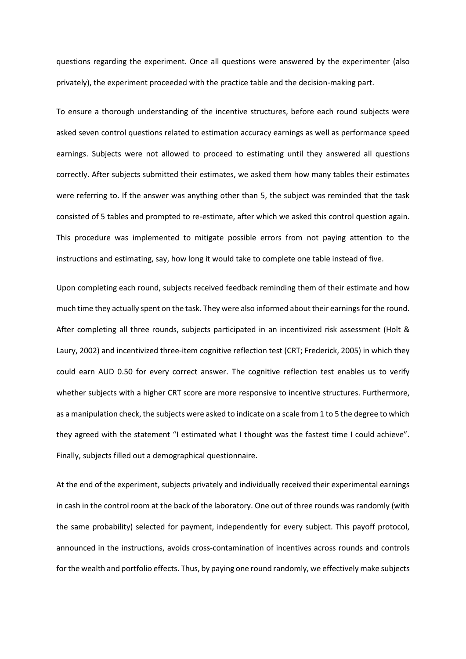questions regarding the experiment. Once all questions were answered by the experimenter (also privately), the experiment proceeded with the practice table and the decision-making part.

To ensure a thorough understanding of the incentive structures, before each round subjects were asked seven control questions related to estimation accuracy earnings as well as performance speed earnings. Subjects were not allowed to proceed to estimating until they answered all questions correctly. After subjects submitted their estimates, we asked them how many tables their estimates were referring to. If the answer was anything other than 5, the subject was reminded that the task consisted of 5 tables and prompted to re-estimate, after which we asked this control question again. This procedure was implemented to mitigate possible errors from not paying attention to the instructions and estimating, say, how long it would take to complete one table instead of five.

Upon completing each round, subjects received feedback reminding them of their estimate and how much time they actually spent on the task. They were also informed about their earnings for the round. After completing all three rounds, subjects participated in an incentivized risk assessment (Holt & Laury, 2002) and incentivized three-item cognitive reflection test (CRT; Frederick, 2005) in which they could earn AUD 0.50 for every correct answer. The cognitive reflection test enables us to verify whether subjects with a higher CRT score are more responsive to incentive structures. Furthermore, as a manipulation check, the subjects were asked to indicate on a scale from 1 to 5 the degree to which they agreed with the statement "I estimated what I thought was the fastest time I could achieve". Finally, subjects filled out a demographical questionnaire.

At the end of the experiment, subjects privately and individually received their experimental earnings in cash in the control room at the back of the laboratory. One out of three rounds was randomly (with the same probability) selected for payment, independently for every subject. This payoff protocol, announced in the instructions, avoids cross-contamination of incentives across rounds and controls for the wealth and portfolio effects. Thus, by paying one round randomly, we effectively make subjects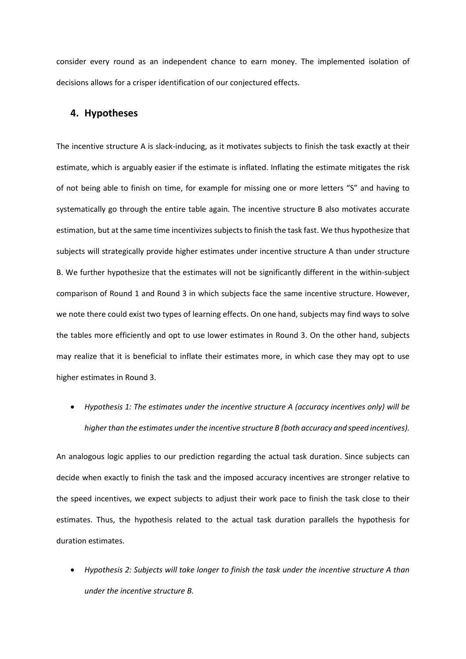consider every round as an independent chance to earn money. The implemented isolation of decisions allows for a crisper identification of our conjectured effects.

## **4. Hypotheses**

The incentive structure A is slack-inducing, as it motivates subjects to finish the task exactly at their estimate, which is arguably easier if the estimate is inflated. Inflating the estimate mitigates the risk of not being able to finish on time, for example for missing one or more letters "S" and having to systematically go through the entire table again. The incentive structure B also motivates accurate estimation, but at the same time incentivizes subjects to finish the task fast. We thus hypothesize that subjects will strategically provide higher estimates under incentive structure A than under structure B. We further hypothesize that the estimates will not be significantly different in the within-subject comparison of Round 1 and Round 3 in which subjects face the same incentive structure. However, we note there could exist two types of learning effects. On one hand, subjects may find ways to solve the tables more efficiently and opt to use lower estimates in Round 3. On the other hand, subjects may realize that it is beneficial to inflate their estimates more, in which case they may opt to use higher estimates in Round 3.

• *Hypothesis 1: The estimates under the incentive structure A (accuracy incentives only) will be higher than the estimates under the incentive structure B (both accuracy and speed incentives).* 

An analogous logic applies to our prediction regarding the actual task duration. Since subjects can decide when exactly to finish the task and the imposed accuracy incentives are stronger relative to the speed incentives, we expect subjects to adjust their work pace to finish the task close to their estimates. Thus, the hypothesis related to the actual task duration parallels the hypothesis for duration estimates.

• *Hypothesis 2: Subjects will take longer to finish the task under the incentive structure A than under the incentive structure B.*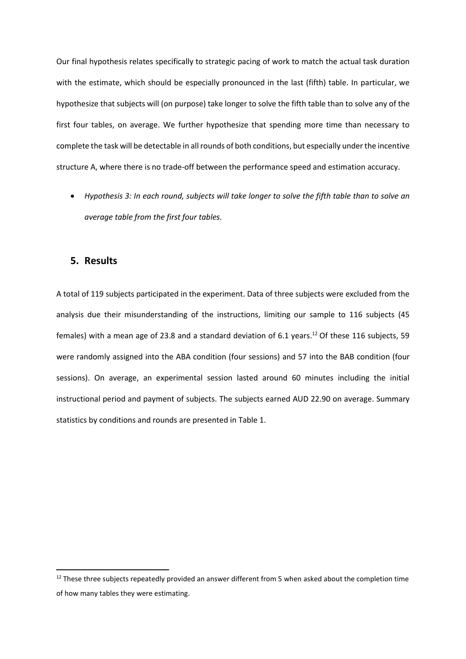Our final hypothesis relates specifically to strategic pacing of work to match the actual task duration with the estimate, which should be especially pronounced in the last (fifth) table. In particular, we hypothesize that subjects will (on purpose) take longer to solve the fifth table than to solve any of the first four tables, on average. We further hypothesize that spending more time than necessary to complete the task will be detectable in all rounds of both conditions, but especially under the incentive structure A, where there is no trade-off between the performance speed and estimation accuracy.

• *Hypothesis 3: In each round, subjects will take longer to solve the fifth table than to solve an average table from the first four tables.* 

## **5. Results**

A total of 119 subjects participated in the experiment. Data of three subjects were excluded from the analysis due their misunderstanding of the instructions, limiting our sample to 116 subjects (45 females) with a mean age of 23.8 and a standard deviation of 6.1 years.<sup>12</sup> Of these 116 subjects, 59 were randomly assigned into the ABA condition (four sessions) and 57 into the BAB condition (four sessions). On average, an experimental session lasted around 60 minutes including the initial instructional period and payment of subjects. The subjects earned AUD 22.90 on average. Summary statistics by conditions and rounds are presented in Table 1.

<sup>&</sup>lt;sup>12</sup> These three subjects repeatedly provided an answer different from 5 when asked about the completion time of how many tables they were estimating.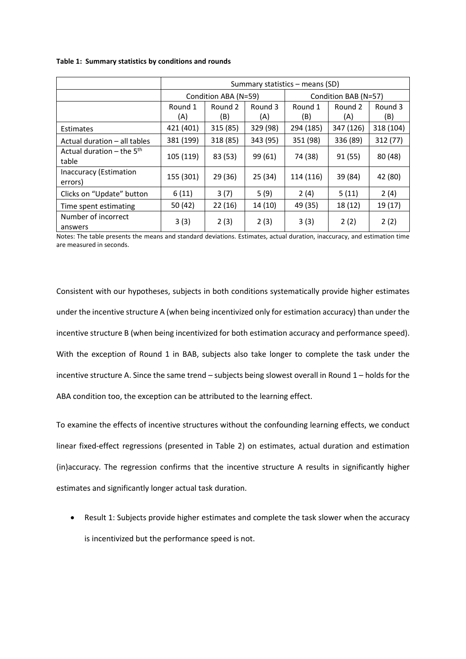#### **Table 1: Summary statistics by conditions and rounds**

|                                      | Summary statistics – means (SD) |                      |                |                      |                |                |  |  |
|--------------------------------------|---------------------------------|----------------------|----------------|----------------------|----------------|----------------|--|--|
|                                      |                                 | Condition ABA (N=59) |                | Condition BAB (N=57) |                |                |  |  |
|                                      | Round 1<br>(A)                  | Round 2<br>(B)       | Round 3<br>(A) | Round 1<br>(B)       | Round 2<br>(A) | Round 3<br>(B) |  |  |
| Estimates                            | 421 (401)                       | 315 (85)             | 329 (98)       | 294 (185)            | 347 (126)      | 318 (104)      |  |  |
| Actual duration - all tables         | 381 (199)                       | 318 (85)             | 343 (95)       | 351 (98)             | 336 (89)       | 312 (77)       |  |  |
| Actual duration – the $5th$<br>table | 105 (119)                       | 83 (53)              | 99 (61)        | 74 (38)              | 91(55)         | 80 (48)        |  |  |
| Inaccuracy (Estimation<br>errors)    | 155 (301)                       | 29 (36)              | 25 (34)        | 114 (116)            | 39 (84)        | 42 (80)        |  |  |
| Clicks on "Update" button            | 6(11)                           | 3(7)                 | 5(9)           | 2(4)                 | 5(11)          | 2(4)           |  |  |
| Time spent estimating                | 50 (42)                         | 22(16)               | 14(10)         | 49 (35)              | 18 (12)        | 19 (17)        |  |  |
| Number of incorrect<br>answers       | 3(3)                            | 2(3)                 | 2(3)           | 3(3)                 | 2(2)           | 2(2)           |  |  |

Notes: The table presents the means and standard deviations. Estimates, actual duration, inaccuracy, and estimation time are measured in seconds.

Consistent with our hypotheses, subjects in both conditions systematically provide higher estimates under the incentive structure A (when being incentivized only for estimation accuracy) than under the incentive structure B (when being incentivized for both estimation accuracy and performance speed). With the exception of Round 1 in BAB, subjects also take longer to complete the task under the incentive structure A. Since the same trend – subjects being slowest overall in Round 1 – holds for the ABA condition too, the exception can be attributed to the learning effect.

To examine the effects of incentive structures without the confounding learning effects, we conduct linear fixed-effect regressions (presented in Table 2) on estimates, actual duration and estimation (in)accuracy. The regression confirms that the incentive structure A results in significantly higher estimates and significantly longer actual task duration.

• Result 1: Subjects provide higher estimates and complete the task slower when the accuracy is incentivized but the performance speed is not.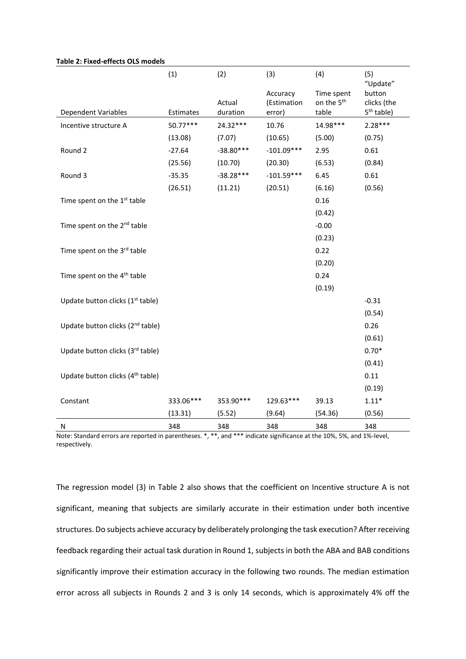|                                              | (1)       | (2)                | (3)                               | (4)                                           | (5)<br>"Update"                                 |
|----------------------------------------------|-----------|--------------------|-----------------------------------|-----------------------------------------------|-------------------------------------------------|
| Dependent Variables                          | Estimates | Actual<br>duration | Accuracy<br>(Estimation<br>error) | Time spent<br>on the 5 <sup>th</sup><br>table | button<br>clicks (the<br>5 <sup>th</sup> table) |
| Incentive structure A                        | 50.77***  | 24.32***           | 10.76                             | 14.98***                                      | $2.28***$                                       |
|                                              | (13.08)   | (7.07)             | (10.65)                           | (5.00)                                        | (0.75)                                          |
| Round 2                                      | $-27.64$  | $-38.80***$        | $-101.09***$                      | 2.95                                          | 0.61                                            |
|                                              | (25.56)   | (10.70)            | (20.30)                           | (6.53)                                        | (0.84)                                          |
| Round 3                                      | $-35.35$  | $-38.28***$        | $-101.59***$                      | 6.45                                          | 0.61                                            |
|                                              | (26.51)   | (11.21)            | (20.51)                           | (6.16)                                        | (0.56)                                          |
| Time spent on the 1 <sup>st</sup> table      |           |                    |                                   | 0.16                                          |                                                 |
|                                              |           |                    |                                   | (0.42)                                        |                                                 |
| Time spent on the 2 <sup>nd</sup> table      |           |                    |                                   | $-0.00$                                       |                                                 |
|                                              |           |                    |                                   | (0.23)                                        |                                                 |
| Time spent on the 3rd table                  |           |                    |                                   | 0.22                                          |                                                 |
|                                              |           |                    |                                   | (0.20)                                        |                                                 |
| Time spent on the 4 <sup>th</sup> table      |           |                    |                                   | 0.24                                          |                                                 |
|                                              |           |                    |                                   | (0.19)                                        |                                                 |
| Update button clicks (1 <sup>st</sup> table) |           |                    |                                   |                                               | $-0.31$                                         |
|                                              |           |                    |                                   |                                               | (0.54)                                          |
| Update button clicks (2 <sup>nd</sup> table) |           |                    |                                   |                                               | 0.26                                            |
|                                              |           |                    |                                   |                                               | (0.61)                                          |
| Update button clicks (3rd table)             |           |                    |                                   |                                               | $0.70*$                                         |
|                                              |           |                    |                                   |                                               | (0.41)                                          |
| Update button clicks (4 <sup>th</sup> table) |           |                    |                                   |                                               | 0.11                                            |
|                                              |           |                    |                                   |                                               | (0.19)                                          |
| Constant                                     | 333.06*** | 353.90***          | 129.63***                         | 39.13                                         | $1.11*$                                         |
|                                              | (13.31)   | (5.52)             | (9.64)                            | (54.36)                                       | (0.56)                                          |
| Ν                                            | 348       | 348                | 348                               | 348                                           | 348                                             |

#### **Table 2: Fixed-effects OLS models**

Note: Standard errors are reported in parentheses. \*, \*\*, and \*\*\* indicate significance at the 10%, 5%, and 1%-level, respectively.

The regression model (3) in Table 2 also shows that the coefficient on Incentive structure A is not significant, meaning that subjects are similarly accurate in their estimation under both incentive structures. Do subjects achieve accuracy by deliberately prolonging the task execution? After receiving feedback regarding their actual task duration in Round 1, subjects in both the ABA and BAB conditions significantly improve their estimation accuracy in the following two rounds. The median estimation error across all subjects in Rounds 2 and 3 is only 14 seconds, which is approximately 4% off the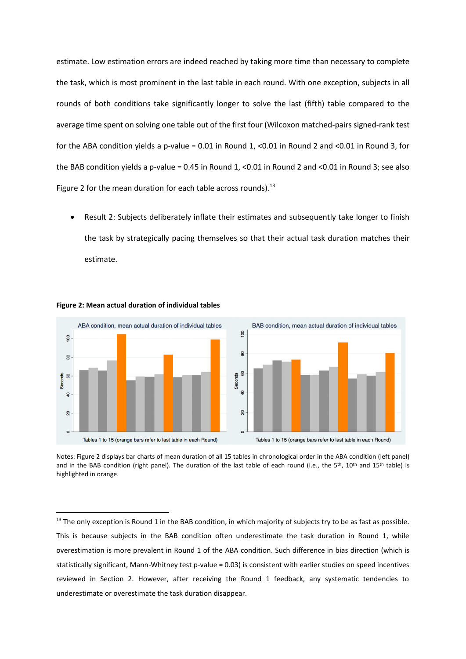estimate. Low estimation errors are indeed reached by taking more time than necessary to complete the task, which is most prominent in the last table in each round. With one exception, subjects in all rounds of both conditions take significantly longer to solve the last (fifth) table compared to the average time spent on solving one table out of the first four (Wilcoxon matched-pairs signed-rank test for the ABA condition yields a p-value = 0.01 in Round 1, <0.01 in Round 2 and <0.01 in Round 3, for the BAB condition yields a p-value = 0.45 in Round 1, <0.01 in Round 2 and <0.01 in Round 3; see also Figure 2 for the mean duration for each table across rounds). $^{13}$ 

• Result 2: Subjects deliberately inflate their estimates and subsequently take longer to finish the task by strategically pacing themselves so that their actual task duration matches their estimate.



#### **Figure 2: Mean actual duration of individual tables**

Notes: Figure 2 displays bar charts of mean duration of all 15 tables in chronological order in the ABA condition (left panel) and in the BAB condition (right panel). The duration of the last table of each round (i.e., the 5<sup>th</sup>, 10<sup>th</sup> and 15<sup>th</sup> table) is highlighted in orange.

<sup>&</sup>lt;sup>13</sup> The only exception is Round 1 in the BAB condition, in which majority of subjects try to be as fast as possible. This is because subjects in the BAB condition often underestimate the task duration in Round 1, while overestimation is more prevalent in Round 1 of the ABA condition. Such difference in bias direction (which is statistically significant, Mann-Whitney test p-value = 0.03) is consistent with earlier studies on speed incentives reviewed in Section 2. However, after receiving the Round 1 feedback, any systematic tendencies to underestimate or overestimate the task duration disappear.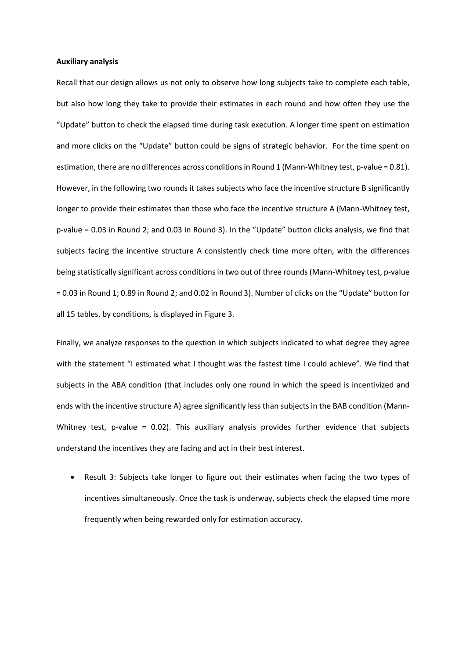#### **Auxiliary analysis**

Recall that our design allows us not only to observe how long subjects take to complete each table, but also how long they take to provide their estimates in each round and how often they use the "Update" button to check the elapsed time during task execution. A longer time spent on estimation and more clicks on the "Update" button could be signs of strategic behavior. For the time spent on estimation, there are no differences across conditions in Round 1 (Mann-Whitney test, p-value = 0.81). However, in the following two rounds it takes subjects who face the incentive structure B significantly longer to provide their estimates than those who face the incentive structure A (Mann-Whitney test, p-value = 0.03 in Round 2; and 0.03 in Round 3). In the "Update" button clicks analysis, we find that subjects facing the incentive structure A consistently check time more often, with the differences being statistically significant across conditions in two out of three rounds (Mann-Whitney test, p-value = 0.03 in Round 1; 0.89 in Round 2; and 0.02 in Round 3). Number of clicks on the "Update" button for all 15 tables, by conditions, is displayed in Figure 3.

Finally, we analyze responses to the question in which subjects indicated to what degree they agree with the statement "I estimated what I thought was the fastest time I could achieve". We find that subjects in the ABA condition (that includes only one round in which the speed is incentivized and ends with the incentive structure A) agree significantly less than subjects in the BAB condition (Mann-Whitney test, p-value = 0.02). This auxiliary analysis provides further evidence that subjects understand the incentives they are facing and act in their best interest.

• Result 3: Subjects take longer to figure out their estimates when facing the two types of incentives simultaneously. Once the task is underway, subjects check the elapsed time more frequently when being rewarded only for estimation accuracy.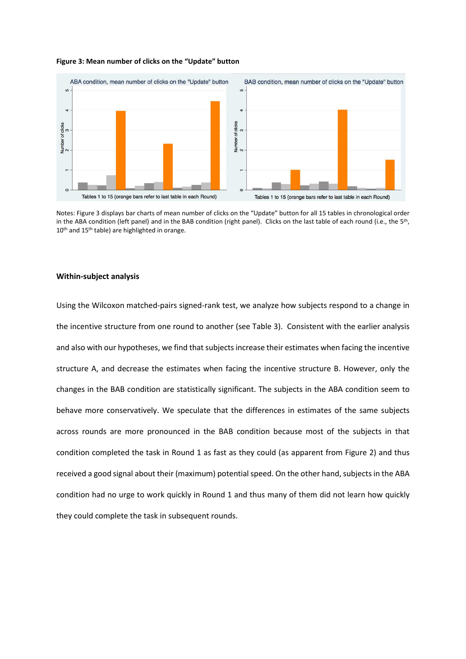#### **Figure 3: Mean number of clicks on the "Update" button**



Notes: Figure 3 displays bar charts of mean number of clicks on the "Update" button for all 15 tables in chronological order in the ABA condition (left panel) and in the BAB condition (right panel). Clicks on the last table of each round (i.e., the 5<sup>th</sup>, 10<sup>th</sup> and 15<sup>th</sup> table) are highlighted in orange.

#### **Within-subject analysis**

Using the Wilcoxon matched-pairs signed-rank test, we analyze how subjects respond to a change in the incentive structure from one round to another (see Table 3). Consistent with the earlier analysis and also with our hypotheses, we find that subjects increase their estimates when facing the incentive structure A, and decrease the estimates when facing the incentive structure B. However, only the changes in the BAB condition are statistically significant. The subjects in the ABA condition seem to behave more conservatively. We speculate that the differences in estimates of the same subjects across rounds are more pronounced in the BAB condition because most of the subjects in that condition completed the task in Round 1 as fast as they could (as apparent from Figure 2) and thus received a good signal about their (maximum) potential speed. On the other hand, subjects in the ABA condition had no urge to work quickly in Round 1 and thus many of them did not learn how quickly they could complete the task in subsequent rounds.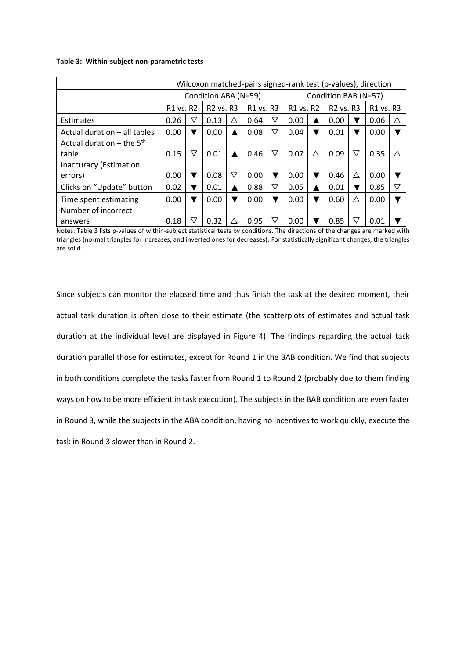#### **Table 3: Within-subject non-parametric tests**

|                               | Wilcoxon matched-pairs signed-rank test (p-values), direction |                      |                                   |                 |           |                  |                      |   |                                   |                 |                                   |             |
|-------------------------------|---------------------------------------------------------------|----------------------|-----------------------------------|-----------------|-----------|------------------|----------------------|---|-----------------------------------|-----------------|-----------------------------------|-------------|
|                               |                                                               | Condition ABA (N=59) |                                   |                 |           |                  | Condition BAB (N=57) |   |                                   |                 |                                   |             |
|                               | R <sub>1</sub> vs. R <sub>2</sub>                             |                      | R <sub>2</sub> vs. R <sub>3</sub> |                 | R1 vs. R3 |                  | R1 vs. R2            |   | R <sub>2</sub> vs. R <sub>3</sub> |                 | R <sub>1</sub> vs. R <sub>3</sub> |             |
| Estimates                     | 0.26                                                          | $\triangledown$      | 0.13                              | ∧               | 0.64      | ▽                | 0.00                 |   | 0.00                              | v               | 0.06                              | $\triangle$ |
| Actual duration - all tables  | 0.00                                                          |                      | 0.00                              | ▲               | 0.08      | $\mathbf \nabla$ | 0.04                 |   | 0.01                              | v               | 0.00                              |             |
| Actual duration – the $5th$   |                                                               |                      |                                   |                 |           |                  |                      |   |                                   |                 |                                   |             |
| table                         | 0.15                                                          | $\triangledown$      | 0.01                              |                 | 0.46      | $\triangledown$  | 0.07                 | ∧ | 0.09                              | $\triangledown$ | 0.35                              | ╱╲          |
| <b>Inaccuracy (Estimation</b> |                                                               |                      |                                   |                 |           |                  |                      |   |                                   |                 |                                   |             |
| errors)                       | 0.00                                                          |                      | 0.08                              | $\triangledown$ | 0.00      |                  | 0.00                 |   | 0.46                              | Δ               | 0.00                              |             |
| Clicks on "Update" button     | 0.02                                                          |                      | 0.01                              | ▲               | 0.88      | $\triangledown$  | 0.05                 |   | 0.01                              | v               | 0.85                              | V           |
| Time spent estimating         | 0.00                                                          |                      | 0.00                              | v               | 0.00      |                  | 0.00                 |   | 0.60                              | Δ               | 0.00                              |             |
| Number of incorrect           |                                                               |                      |                                   |                 |           |                  |                      |   |                                   |                 |                                   |             |
| answers                       | 0.18                                                          | ▽                    | 0.32                              | Λ               | 0.95      | ▽                | 0.00                 |   | 0.85                              | $\triangledown$ | 0.01                              |             |

Notes: Table 3 lists p-values of within-subject statistical tests by conditions. The directions of the changes are marked with triangles (normal triangles for increases, and inverted ones for decreases). For statistically significant changes, the triangles are solid.

Since subjects can monitor the elapsed time and thus finish the task at the desired moment, their actual task duration is often close to their estimate (the scatterplots of estimates and actual task duration at the individual level are displayed in Figure 4). The findings regarding the actual task duration parallel those for estimates, except for Round 1 in the BAB condition. We find that subjects in both conditions complete the tasks faster from Round 1 to Round 2 (probably due to them finding ways on how to be more efficient in task execution). The subjects in the BAB condition are even faster in Round 3, while the subjects in the ABA condition, having no incentives to work quickly, execute the task in Round 3 slower than in Round 2.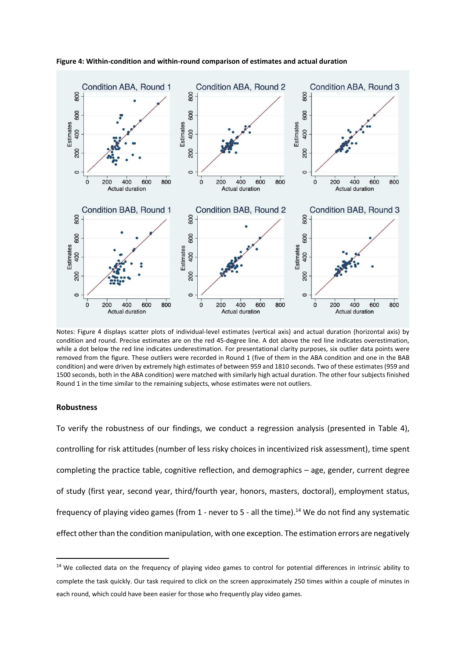

**Figure 4: Within-condition and within-round comparison of estimates and actual duration**

Notes: Figure 4 displays scatter plots of individual-level estimates (vertical axis) and actual duration (horizontal axis) by condition and round. Precise estimates are on the red 45-degree line. A dot above the red line indicates overestimation, while a dot below the red line indicates underestimation. For presentational clarity purposes, six outlier data points were removed from the figure. These outliers were recorded in Round 1 (five of them in the ABA condition and one in the BAB condition) and were driven by extremely high estimates of between 959 and 1810 seconds. Two of these estimates (959 and 1500 seconds, both in the ABA condition) were matched with similarly high actual duration. The other four subjects finished Round 1 in the time similar to the remaining subjects, whose estimates were not outliers.

#### **Robustness**

To verify the robustness of our findings, we conduct a regression analysis (presented in Table 4), controlling for risk attitudes (number of less risky choices in incentivized risk assessment), time spent completing the practice table, cognitive reflection, and demographics – age, gender, current degree of study (first year, second year, third/fourth year, honors, masters, doctoral), employment status, frequency of playing video games (from 1 - never to 5 - all the time).<sup>14</sup> We do not find any systematic effect other than the condition manipulation, with one exception. The estimation errors are negatively

<sup>&</sup>lt;sup>14</sup> We collected data on the frequency of playing video games to control for potential differences in intrinsic ability to complete the task quickly. Our task required to click on the screen approximately 250 times within a couple of minutes in each round, which could have been easier for those who frequently play video games.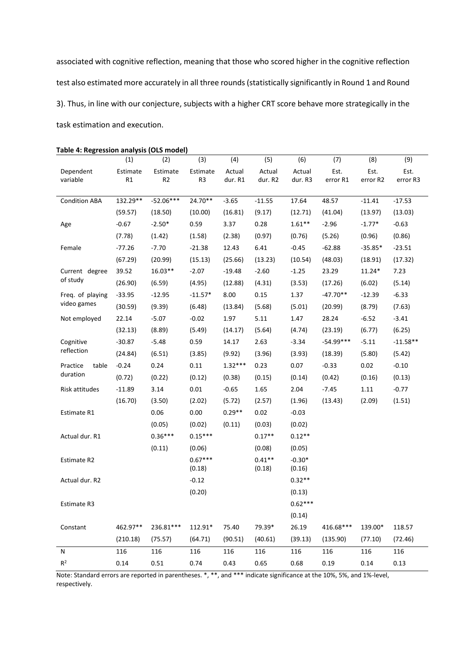associated with cognitive reflection, meaning that those who scored higher in the cognitive reflection test also estimated more accurately in all three rounds (statistically significantly in Round 1 and Round 3). Thus, in line with our conjecture, subjects with a higher CRT score behave more strategically in the task estimation and execution.

|                      | (1)      | (2)            | (3)            | (4)       | (5)      | (6)       | (7)         | (8)       | (9)        |
|----------------------|----------|----------------|----------------|-----------|----------|-----------|-------------|-----------|------------|
| Dependent            | Estimate | Estimate       | Estimate       | Actual    | Actual   | Actual    | Est.        | Est.      | Est.       |
| variable             | R1       | R <sub>2</sub> | R <sub>3</sub> | dur. R1   | dur. R2  | dur. R3   | error R1    | error R2  | error R3   |
| <b>Condition ABA</b> | 132.29** | $-52.06***$    | 24.70**        | $-3.65$   | $-11.55$ | 17.64     | 48.57       | $-11.41$  | $-17.53$   |
|                      | (59.57)  | (18.50)        | (10.00)        | (16.81)   | (9.17)   | (12.71)   | (41.04)     | (13.97)   | (13.03)    |
| Age                  | $-0.67$  | $-2.50*$       | 0.59           | 3.37      | 0.28     | $1.61**$  | $-2.96$     | $-1.77*$  | $-0.63$    |
|                      | (7.78)   | (1.42)         | (1.58)         | (2.38)    | (0.97)   | (0.76)    | (5.26)      | (0.96)    | (0.86)     |
| Female               | $-77.26$ | $-7.70$        | $-21.38$       | 12.43     | 6.41     | $-0.45$   | $-62.88$    | $-35.85*$ | $-23.51$   |
|                      | (67.29)  | (20.99)        | (15.13)        | (25.66)   | (13.23)  | (10.54)   | (48.03)     | (18.91)   | (17.32)    |
| Current degree       | 39.52    | $16.03**$      | $-2.07$        | $-19.48$  | $-2.60$  | $-1.25$   | 23.29       | $11.24*$  | 7.23       |
| of study             | (26.90)  | (6.59)         | (4.95)         | (12.88)   | (4.31)   | (3.53)    | (17.26)     | (6.02)    | (5.14)     |
| Freq. of playing     | $-33.95$ | $-12.95$       | $-11.57*$      | 8.00      | 0.15     | 1.37      | $-47.70**$  | $-12.39$  | $-6.33$    |
| video games          | (30.59)  | (9.39)         | (6.48)         | (13.84)   | (5.68)   | (5.01)    | (20.99)     | (8.79)    | (7.63)     |
| Not employed         | 22.14    | $-5.07$        | $-0.02$        | 1.97      | 5.11     | 1.47      | 28.24       | $-6.52$   | $-3.41$    |
|                      | (32.13)  | (8.89)         | (5.49)         | (14.17)   | (5.64)   | (4.74)    | (23.19)     | (6.77)    | (6.25)     |
| Cognitive            | $-30.87$ | $-5.48$        | 0.59           | 14.17     | 2.63     | $-3.34$   | $-54.99***$ | $-5.11$   | $-11.58**$ |
| reflection           | (24.84)  | (6.51)         | (3.85)         | (9.92)    | (3.96)   | (3.93)    | (18.39)     | (5.80)    | (5.42)     |
| table<br>Practice    | $-0.24$  | 0.24           | 0.11           | $1.32***$ | 0.23     | 0.07      | $-0.33$     | 0.02      | $-0.10$    |
| duration             | (0.72)   | (0.22)         | (0.12)         | (0.38)    | (0.15)   | (0.14)    | (0.42)      | (0.16)    | (0.13)     |
| Risk attitudes       | $-11.89$ | 3.14           | $0.01\,$       | $-0.65$   | 1.65     | 2.04      | $-7.45$     | 1.11      | $-0.77$    |
|                      | (16.70)  | (3.50)         | (2.02)         | (5.72)    | (2.57)   | (1.96)    | (13.43)     | (2.09)    | (1.51)     |
| Estimate R1          |          | 0.06           | 0.00           | $0.29**$  | 0.02     | $-0.03$   |             |           |            |
|                      |          | (0.05)         | (0.02)         | (0.11)    | (0.03)   | (0.02)    |             |           |            |
| Actual dur. R1       |          | $0.36***$      | $0.15***$      |           | $0.17**$ | $0.12**$  |             |           |            |
|                      |          | (0.11)         | (0.06)         |           | (0.08)   | (0.05)    |             |           |            |
| Estimate R2          |          |                | $0.67***$      |           | $0.41**$ | $-0.30*$  |             |           |            |
|                      |          |                | (0.18)         |           | (0.18)   | (0.16)    |             |           |            |
| Actual dur. R2       |          |                | $-0.12$        |           |          | $0.32**$  |             |           |            |
|                      |          |                | (0.20)         |           |          | (0.13)    |             |           |            |
| Estimate R3          |          |                |                |           |          | $0.62***$ |             |           |            |
|                      |          |                |                |           |          | (0.14)    |             |           |            |
| Constant             | 462.97** | 236.81***      | 112.91*        | 75.40     | 79.39*   | 26.19     | 416.68***   | 139.00*   | 118.57     |
|                      | (210.18) | (75.57)        | (64.71)        | (90.51)   | (40.61)  | (39.13)   | (135.90)    | (77.10)   | (72.46)    |
| N                    | 116      | 116            | 116            | 116       | 116      | 116       | 116         | 116       | 116        |
| R <sup>2</sup>       | 0.14     | 0.51           | 0.74           | 0.43      | 0.65     | 0.68      | 0.19        | 0.14      | 0.13       |

Note: Standard errors are reported in parentheses. \*, \*\*, and \*\*\* indicate significance at the 10%, 5%, and 1%-level, respectively.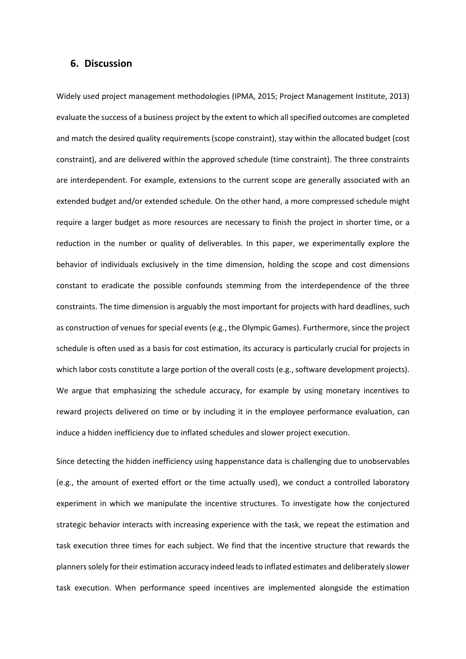## **6. Discussion**

Widely used project management methodologies (IPMA, 2015; Project Management Institute, 2013) evaluate the success of a business project by the extent to which all specified outcomes are completed and match the desired quality requirements (scope constraint), stay within the allocated budget (cost constraint), and are delivered within the approved schedule (time constraint). The three constraints are interdependent. For example, extensions to the current scope are generally associated with an extended budget and/or extended schedule. On the other hand, a more compressed schedule might require a larger budget as more resources are necessary to finish the project in shorter time, or a reduction in the number or quality of deliverables. In this paper, we experimentally explore the behavior of individuals exclusively in the time dimension, holding the scope and cost dimensions constant to eradicate the possible confounds stemming from the interdependence of the three constraints. The time dimension is arguably the most important for projects with hard deadlines, such as construction of venues for special events (e.g., the Olympic Games). Furthermore, since the project schedule is often used as a basis for cost estimation, its accuracy is particularly crucial for projects in which labor costs constitute a large portion of the overall costs (e.g., software development projects). We argue that emphasizing the schedule accuracy, for example by using monetary incentives to reward projects delivered on time or by including it in the employee performance evaluation, can induce a hidden inefficiency due to inflated schedules and slower project execution.

Since detecting the hidden inefficiency using happenstance data is challenging due to unobservables (e.g., the amount of exerted effort or the time actually used), we conduct a controlled laboratory experiment in which we manipulate the incentive structures. To investigate how the conjectured strategic behavior interacts with increasing experience with the task, we repeat the estimation and task execution three times for each subject. We find that the incentive structure that rewards the planners solely for their estimation accuracy indeed leads to inflated estimates and deliberately slower task execution. When performance speed incentives are implemented alongside the estimation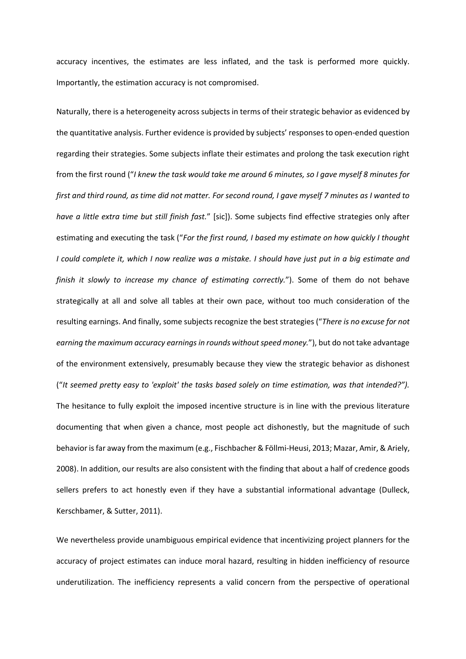accuracy incentives, the estimates are less inflated, and the task is performed more quickly. Importantly, the estimation accuracy is not compromised.

Naturally, there is a heterogeneity across subjects in terms of their strategic behavior as evidenced by the quantitative analysis. Further evidence is provided by subjects' responses to open-ended question regarding their strategies. Some subjects inflate their estimates and prolong the task execution right from the first round ("*I knew the task would take me around 6 minutes, so I gave myself 8 minutes for first and third round, as time did not matter. For second round, I gave myself 7 minutes as I wanted to have a little extra time but still finish fast.*" [sic]). Some subjects find effective strategies only after estimating and executing the task ("*For the first round, I based my estimate on how quickly I thought I could complete it, which I now realize was a mistake. I should have just put in a big estimate and finish it slowly to increase my chance of estimating correctly.*"). Some of them do not behave strategically at all and solve all tables at their own pace, without too much consideration of the resulting earnings. And finally, some subjects recognize the best strategies ("*There is no excuse for not earning the maximum accuracy earnings in rounds without speed money.*"), but do not take advantage of the environment extensively, presumably because they view the strategic behavior as dishonest ("*It seemed pretty easy to 'exploit' the tasks based solely on time estimation, was that intended?").* The hesitance to fully exploit the imposed incentive structure is in line with the previous literature documenting that when given a chance, most people act dishonestly, but the magnitude of such behavior is far away from the maximum (e.g., Fischbacher & Föllmi-Heusi, 2013; Mazar, Amir, & Ariely, 2008). In addition, our results are also consistent with the finding that about a half of credence goods sellers prefers to act honestly even if they have a substantial informational advantage (Dulleck, Kerschbamer, & Sutter, 2011).

We nevertheless provide unambiguous empirical evidence that incentivizing project planners for the accuracy of project estimates can induce moral hazard, resulting in hidden inefficiency of resource underutilization. The inefficiency represents a valid concern from the perspective of operational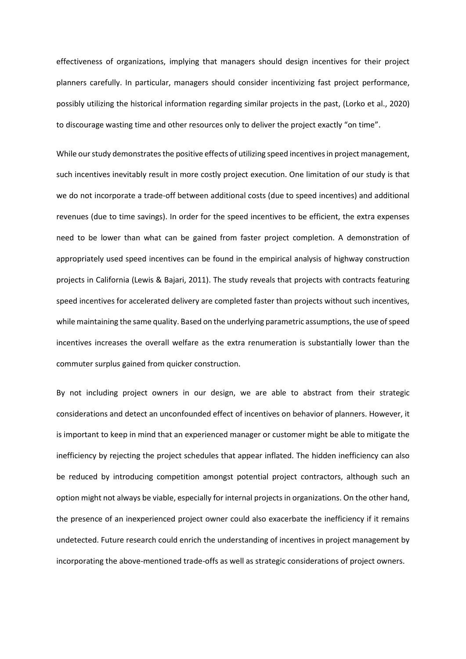effectiveness of organizations, implying that managers should design incentives for their project planners carefully. In particular, managers should consider incentivizing fast project performance, possibly utilizing the historical information regarding similar projects in the past, (Lorko et al., 2020) to discourage wasting time and other resources only to deliver the project exactly "on time".

While our study demonstrates the positive effects of utilizing speed incentives in project management, such incentives inevitably result in more costly project execution. One limitation of our study is that we do not incorporate a trade-off between additional costs (due to speed incentives) and additional revenues (due to time savings). In order for the speed incentives to be efficient, the extra expenses need to be lower than what can be gained from faster project completion. A demonstration of appropriately used speed incentives can be found in the empirical analysis of highway construction projects in California (Lewis & Bajari, 2011). The study reveals that projects with contracts featuring speed incentives for accelerated delivery are completed faster than projects without such incentives, while maintaining the same quality. Based on the underlying parametric assumptions, the use of speed incentives increases the overall welfare as the extra renumeration is substantially lower than the commuter surplus gained from quicker construction.

By not including project owners in our design, we are able to abstract from their strategic considerations and detect an unconfounded effect of incentives on behavior of planners. However, it is important to keep in mind that an experienced manager or customer might be able to mitigate the inefficiency by rejecting the project schedules that appear inflated. The hidden inefficiency can also be reduced by introducing competition amongst potential project contractors, although such an option might not always be viable, especially for internal projects in organizations. On the other hand, the presence of an inexperienced project owner could also exacerbate the inefficiency if it remains undetected. Future research could enrich the understanding of incentives in project management by incorporating the above-mentioned trade-offs as well as strategic considerations of project owners.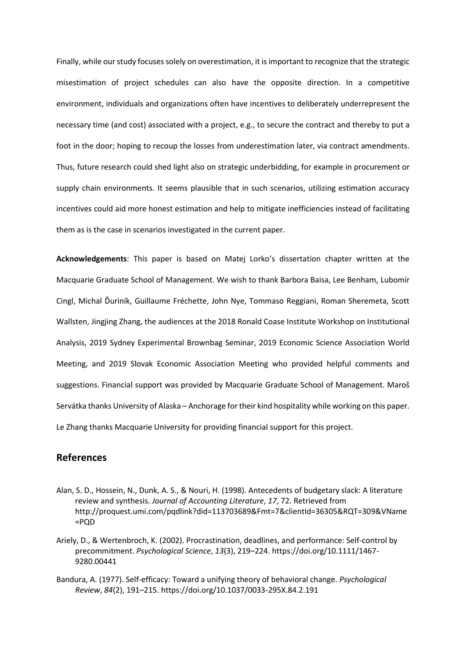Finally, while our study focuses solely on overestimation, it is important to recognize that the strategic misestimation of project schedules can also have the opposite direction. In a competitive environment, individuals and organizations often have incentives to deliberately underrepresent the necessary time (and cost) associated with a project, e.g., to secure the contract and thereby to put a foot in the door; hoping to recoup the losses from underestimation later, via contract amendments. Thus, future research could shed light also on strategic underbidding, for example in procurement or supply chain environments. It seems plausible that in such scenarios, utilizing estimation accuracy incentives could aid more honest estimation and help to mitigate inefficiencies instead of facilitating them as is the case in scenarios investigated in the current paper.

**Acknowledgements**: This paper is based on Matej Lorko's dissertation chapter written at the Macquarie Graduate School of Management. We wish to thank Barbora Baisa, Lee Benham, Lubomír Cingl, Michal Ďuriník, Guillaume Fréchette, John Nye, Tommaso Reggiani, Roman Sheremeta, Scott Wallsten, Jingjing Zhang, the audiences at the 2018 Ronald Coase Institute Workshop on Institutional Analysis, 2019 Sydney Experimental Brownbag Seminar, 2019 Economic Science Association World Meeting, and 2019 Slovak Economic Association Meeting who provided helpful comments and suggestions. Financial support was provided by Macquarie Graduate School of Management. Maroš Servátka thanks University of Alaska – Anchorage for their kind hospitality while working on this paper. Le Zhang thanks Macquarie University for providing financial support for this project.

## **References**

- Alan, S. D., Hossein, N., Dunk, A. S., & Nouri, H. (1998). Antecedents of budgetary slack: A literature review and synthesis. *Journal of Accounting Literature*, *17*, 72. Retrieved from http://proquest.umi.com/pqdlink?did=113703689&Fmt=7&clientId=36305&RQT=309&VName =PQD
- Ariely, D., & Wertenbroch, K. (2002). Procrastination, deadlines, and performance: Self-control by precommitment. *Psychological Science*, *13*(3), 219–224. https://doi.org/10.1111/1467- 9280.00441
- Bandura, A. (1977). Self-efficacy: Toward a unifying theory of behavioral change. *Psychological Review*, *84*(2), 191–215. https://doi.org/10.1037/0033-295X.84.2.191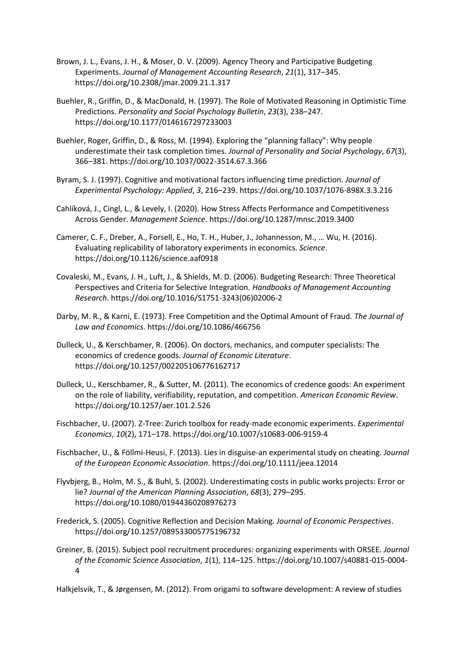- Brown, J. L., Evans, J. H., & Moser, D. V. (2009). Agency Theory and Participative Budgeting Experiments. *Journal of Management Accounting Research*, *21*(1), 317–345. https://doi.org/10.2308/jmar.2009.21.1.317
- Buehler, R., Griffin, D., & MacDonald, H. (1997). The Role of Motivated Reasoning in Optimistic Time Predictions. *Personality and Social Psychology Bulletin*, *23*(3), 238–247. https://doi.org/10.1177/0146167297233003
- Buehler, Roger, Griffin, D., & Ross, M. (1994). Exploring the "planning fallacy": Why people underestimate their task completion times. *Journal of Personality and Social Psychology*, *67*(3), 366–381. https://doi.org/10.1037/0022-3514.67.3.366
- Byram, S. J. (1997). Cognitive and motivational factors influencing time prediction. *Journal of Experimental Psychology: Applied*, *3*, 216–239. https://doi.org/10.1037/1076-898X.3.3.216
- Cahlíková, J., Cingl, L., & Levely, I. (2020). How Stress Affects Performance and Competitiveness Across Gender. *Management Science*. https://doi.org/10.1287/mnsc.2019.3400
- Camerer, C. F., Dreber, A., Forsell, E., Ho, T. H., Huber, J., Johannesson, M., … Wu, H. (2016). Evaluating replicability of laboratory experiments in economics. *Science*. https://doi.org/10.1126/science.aaf0918
- Covaleski, M., Evans, J. H., Luft, J., & Shields, M. D. (2006). Budgeting Research: Three Theoretical Perspectives and Criteria for Selective Integration. *Handbooks of Management Accounting Research*. https://doi.org/10.1016/S1751-3243(06)02006-2
- Darby, M. R., & Karni, E. (1973). Free Competition and the Optimal Amount of Fraud. *The Journal of Law and Economics*. https://doi.org/10.1086/466756
- Dulleck, U., & Kerschbamer, R. (2006). On doctors, mechanics, and computer specialists: The economics of credence goods. *Journal of Economic Literature*. https://doi.org/10.1257/002205106776162717
- Dulleck, U., Kerschbamer, R., & Sutter, M. (2011). The economics of credence goods: An experiment on the role of liability, verifiability, reputation, and competition. *American Economic Review*. https://doi.org/10.1257/aer.101.2.526
- Fischbacher, U. (2007). Z-Tree: Zurich toolbox for ready-made economic experiments. *Experimental Economics*, *10*(2), 171–178. https://doi.org/10.1007/s10683-006-9159-4
- Fischbacher, U., & Föllmi-Heusi, F. (2013). Lies in disguise-an experimental study on cheating. *Journal of the European Economic Association*. https://doi.org/10.1111/jeea.12014
- Flyvbjerg, B., Holm, M. S., & Buhl, S. (2002). Underestimating costs in public works projects: Error or lie? *Journal of the American Planning Association*, *68*(3), 279–295. https://doi.org/10.1080/01944360208976273
- Frederick, S. (2005). Cognitive Reflection and Decision Making. *Journal of Economic Perspectives*. https://doi.org/10.1257/089533005775196732
- Greiner, B. (2015). Subject pool recruitment procedures: organizing experiments with ORSEE. *Journal of the Economic Science Association*, *1*(1), 114–125. https://doi.org/10.1007/s40881-015-0004- 4

Halkjelsvik, T., & Jørgensen, M. (2012). From origami to software development: A review of studies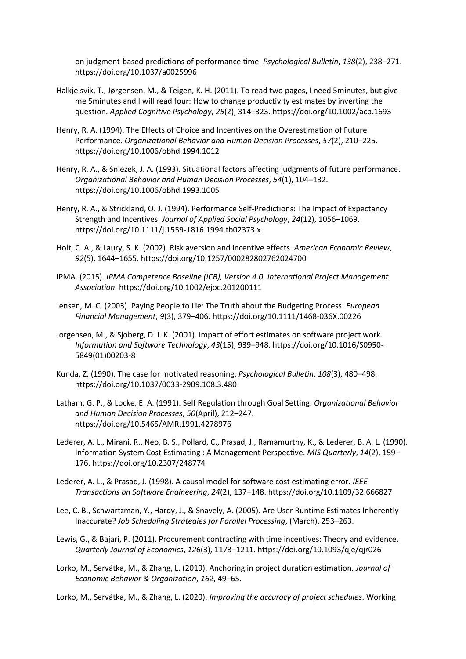on judgment-based predictions of performance time. *Psychological Bulletin*, *138*(2), 238–271. https://doi.org/10.1037/a0025996

- Halkjelsvik, T., Jørgensen, M., & Teigen, K. H. (2011). To read two pages, I need 5minutes, but give me 5minutes and I will read four: How to change productivity estimates by inverting the question. *Applied Cognitive Psychology*, *25*(2), 314–323. https://doi.org/10.1002/acp.1693
- Henry, R. A. (1994). The Effects of Choice and Incentives on the Overestimation of Future Performance. *Organizational Behavior and Human Decision Processes*, *57*(2), 210–225. https://doi.org/10.1006/obhd.1994.1012
- Henry, R. A., & Sniezek, J. A. (1993). Situational factors affecting judgments of future performance. *Organizational Behavior and Human Decision Processes*, *54*(1), 104–132. https://doi.org/10.1006/obhd.1993.1005
- Henry, R. A., & Strickland, O. J. (1994). Performance Self‐Predictions: The Impact of Expectancy Strength and Incentives. *Journal of Applied Social Psychology*, *24*(12), 1056–1069. https://doi.org/10.1111/j.1559-1816.1994.tb02373.x
- Holt, C. A., & Laury, S. K. (2002). Risk aversion and incentive effects. *American Economic Review*, *92*(5), 1644–1655. https://doi.org/10.1257/000282802762024700
- IPMA. (2015). *IPMA Competence Baseline (ICB), Version 4.0*. *International Project Management Association*. https://doi.org/10.1002/ejoc.201200111
- Jensen, M. C. (2003). Paying People to Lie: The Truth about the Budgeting Process. *European Financial Management*, *9*(3), 379–406. https://doi.org/10.1111/1468-036X.00226
- Jorgensen, M., & Sjoberg, D. I. K. (2001). Impact of effort estimates on software project work. *Information and Software Technology*, *43*(15), 939–948. https://doi.org/10.1016/S0950- 5849(01)00203-8
- Kunda, Z. (1990). The case for motivated reasoning. *Psychological Bulletin*, *108*(3), 480–498. https://doi.org/10.1037/0033-2909.108.3.480
- Latham, G. P., & Locke, E. A. (1991). Self Regulation through Goal Setting. *Organizational Behavior and Human Decision Processes*, *50*(April), 212–247. https://doi.org/10.5465/AMR.1991.4278976
- Lederer, A. L., Mirani, R., Neo, B. S., Pollard, C., Prasad, J., Ramamurthy, K., & Lederer, B. A. L. (1990). Information System Cost Estimating : A Management Perspective. *MIS Quarterly*, *14*(2), 159– 176. https://doi.org/10.2307/248774
- Lederer, A. L., & Prasad, J. (1998). A causal model for software cost estimating error. *IEEE Transactions on Software Engineering*, *24*(2), 137–148. https://doi.org/10.1109/32.666827
- Lee, C. B., Schwartzman, Y., Hardy, J., & Snavely, A. (2005). Are User Runtime Estimates Inherently Inaccurate? *Job Scheduling Strategies for Parallel Processing*, (March), 253–263.
- Lewis, G., & Bajari, P. (2011). Procurement contracting with time incentives: Theory and evidence. *Quarterly Journal of Economics*, *126*(3), 1173–1211. https://doi.org/10.1093/qje/qjr026
- Lorko, M., Servátka, M., & Zhang, L. (2019). Anchoring in project duration estimation. *Journal of Economic Behavior & Organization*, *162*, 49–65.

Lorko, M., Servátka, M., & Zhang, L. (2020). *Improving the accuracy of project schedules*. Working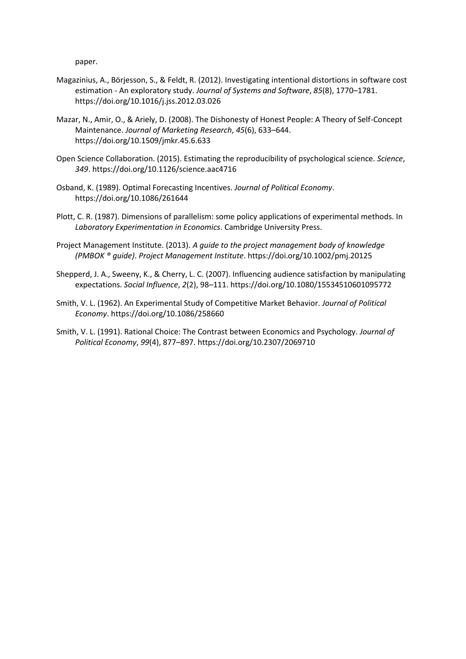paper.

- Magazinius, A., Börjesson, S., & Feldt, R. (2012). Investigating intentional distortions in software cost estimation - An exploratory study. *Journal of Systems and Software*, *85*(8), 1770–1781. https://doi.org/10.1016/j.jss.2012.03.026
- Mazar, N., Amir, O., & Ariely, D. (2008). The Dishonesty of Honest People: A Theory of Self-Concept Maintenance. *Journal of Marketing Research*, *45*(6), 633–644. https://doi.org/10.1509/jmkr.45.6.633
- Open Science Collaboration. (2015). Estimating the reproducibility of psychological science. *Science*, *349*. https://doi.org/10.1126/science.aac4716
- Osband, K. (1989). Optimal Forecasting Incentives. *Journal of Political Economy*. https://doi.org/10.1086/261644
- Plott, C. R. (1987). Dimensions of parallelism: some policy applications of experimental methods. In *Laboratory Experimentation in Economics*. Cambridge University Press.
- Project Management Institute. (2013). *A guide to the project management body of knowledge (PMBOK ® guide)*. *Project Management Institute*. https://doi.org/10.1002/pmj.20125
- Shepperd, J. A., Sweeny, K., & Cherry, L. C. (2007). Influencing audience satisfaction by manipulating expectations. *Social Influence*, *2*(2), 98–111. https://doi.org/10.1080/15534510601095772
- Smith, V. L. (1962). An Experimental Study of Competitive Market Behavior. *Journal of Political Economy*. https://doi.org/10.1086/258660
- Smith, V. L. (1991). Rational Choice: The Contrast between Economics and Psychology. *Journal of Political Economy*, *99*(4), 877–897. https://doi.org/10.2307/2069710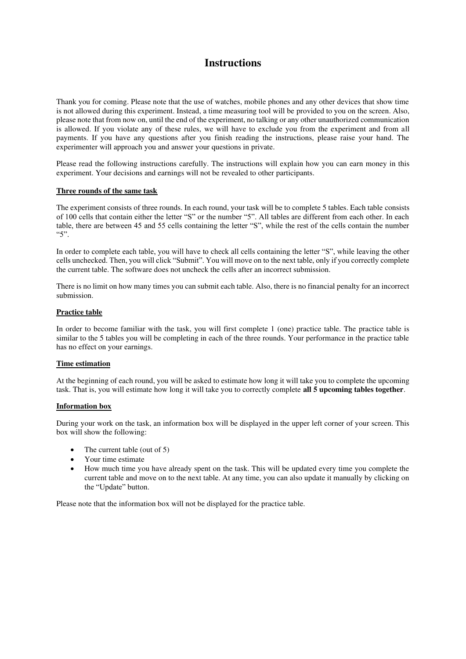## **Instructions**

Thank you for coming. Please note that the use of watches, mobile phones and any other devices that show time is not allowed during this experiment. Instead, a time measuring tool will be provided to you on the screen. Also, please note that from now on, until the end of the experiment, no talking or any other unauthorized communication is allowed. If you violate any of these rules, we will have to exclude you from the experiment and from all payments. If you have any questions after you finish reading the instructions, please raise your hand. The experimenter will approach you and answer your questions in private.

Please read the following instructions carefully. The instructions will explain how you can earn money in this experiment. Your decisions and earnings will not be revealed to other participants.

#### **Three rounds of the same task**

The experiment consists of three rounds. In each round, your task will be to complete 5 tables. Each table consists of 100 cells that contain either the letter "S" or the number "5". All tables are different from each other. In each table, there are between 45 and 55 cells containing the letter "S", while the rest of the cells contain the number  $"5"$ .

In order to complete each table, you will have to check all cells containing the letter "S", while leaving the other cells unchecked. Then, you will click "Submit". You will move on to the next table, only if you correctly complete the current table. The software does not uncheck the cells after an incorrect submission.

There is no limit on how many times you can submit each table. Also, there is no financial penalty for an incorrect submission.

## **Practice table**

In order to become familiar with the task, you will first complete 1 (one) practice table. The practice table is similar to the 5 tables you will be completing in each of the three rounds. Your performance in the practice table has no effect on your earnings.

#### **Time estimation**

At the beginning of each round, you will be asked to estimate how long it will take you to complete the upcoming task. That is, you will estimate how long it will take you to correctly complete **all 5 upcoming tables together**.

#### **Information box**

During your work on the task, an information box will be displayed in the upper left corner of your screen. This box will show the following:

- The current table (out of 5)
- Your time estimate
- How much time you have already spent on the task. This will be updated every time you complete the current table and move on to the next table. At any time, you can also update it manually by clicking on the "Update" button.

Please note that the information box will not be displayed for the practice table.